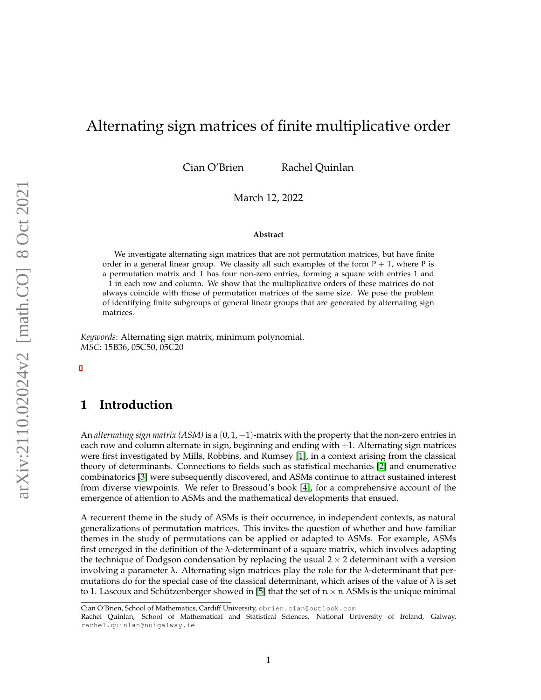# Alternating sign matrices of finite multiplicative order

Cian O'Brien Rachel Quinlan

March 12, 2022

#### **Abstract**

We investigate alternating sign matrices that are not permutation matrices, but have finite order in a general linear group. We classify all such examples of the form  $P + T$ , where P is a permutation matrix and T has four non-zero entries, forming a square with entries 1 and −1 in each row and column. We show that the multiplicative orders of these matrices do not always coincide with those of permutation matrices of the same size. We pose the problem of identifying finite subgroups of general linear groups that are generated by alternating sign matrices.

*Keywords*: Alternating sign matrix, minimum polynomial. *MSC*: 15B36, 05C50, 05C20

# **1 Introduction**

An *alternating sign matrix (ASM)* is a  $(0, 1, -1)$ -matrix with the property that the non-zero entries in each row and column alternate in sign, beginning and ending with +1. Alternating sign matrices were first investigated by Mills, Robbins, and Rumsey [\[1\]](#page-21-0), in a context arising from the classical theory of determinants. Connections to fields such as statistical mechanics [\[2\]](#page-21-1) and enumerative combinatorics [\[3\]](#page-21-2) were subsequently discovered, and ASMs continue to attract sustained interest from diverse viewpoints. We refer to Bressoud's book [\[4\]](#page-21-3), for a comprehensive account of the emergence of attention to ASMs and the mathematical developments that ensued.

A recurrent theme in the study of ASMs is their occurrence, in independent contexts, as natural generalizations of permutation matrices. This invites the question of whether and how familiar themes in the study of permutations can be applied or adapted to ASMs. For example, ASMs first emerged in the definition of the λ-determinant of a square matrix, which involves adapting the technique of Dodgson condensation by replacing the usual  $2 \times 2$  determinant with a version involving a parameter  $\lambda$ . Alternating sign matrices play the role for the  $\lambda$ -determinant that permutations do for the special case of the classical determinant, which arises of the value of  $\lambda$  is set to 1. Lascoux and Schützenberger showed in [\[5\]](#page-21-4) that the set of  $n \times n$  ASMs is the unique minimal

Cian O'Brien, School of Mathematics, Cardiff University, obrien.cian@outlook.com

Rachel Quinlan, School of Mathematical and Statistical Sciences, National University of Ireland, Galway, rachel.quinlan@nuigalway.ie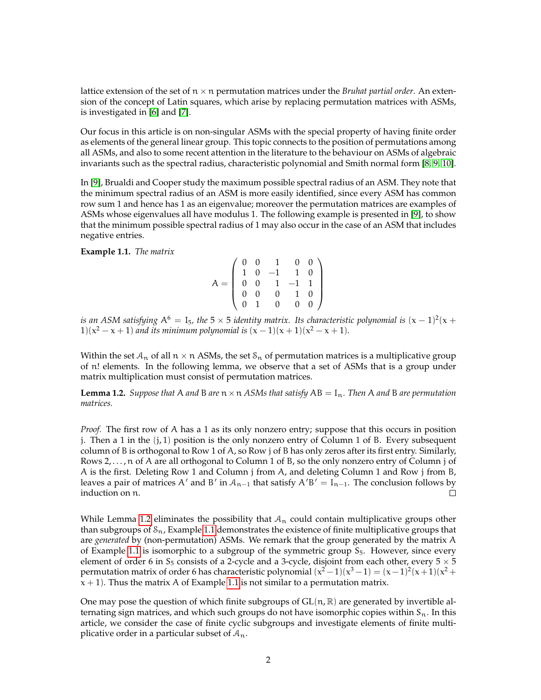lattice extension of the set of  $n \times n$  permutation matrices under the *Bruhat partial order*. An extension of the concept of Latin squares, which arise by replacing permutation matrices with ASMs, is investigated in [\[6\]](#page-21-5) and [\[7\]](#page-21-6).

Our focus in this article is on non-singular ASMs with the special property of having finite order as elements of the general linear group. This topic connects to the position of permutations among all ASMs, and also to some recent attention in the literature to the behaviour on ASMs of algebraic invariants such as the spectral radius, characteristic polynomial and Smith normal form [\[8,](#page-21-7) [9,](#page-21-8) [10\]](#page-21-9).

In [\[9\]](#page-21-8), Brualdi and Cooper study the maximum possible spectral radius of an ASM. They note that the minimum spectral radius of an ASM is more easily identified, since every ASM has common row sum 1 and hence has 1 as an eigenvalue; moreover the permutation matrices are examples of ASMs whose eigenvalues all have modulus 1. The following example is presented in [\[9\]](#page-21-8), to show that the minimum possible spectral radius of 1 may also occur in the case of an ASM that includes negative entries.

<span id="page-1-1"></span>**Example 1.1.** *The matrix*

$$
A = \left(\begin{array}{rrrr} 0 & 0 & 1 & 0 & 0 \\ 1 & 0 & -1 & 1 & 0 \\ 0 & 0 & 1 & -1 & 1 \\ 0 & 0 & 0 & 1 & 0 \\ 0 & 1 & 0 & 0 & 0 \end{array}\right)
$$

is an ASM satisfying  $\rm A^6=I_5$ , the 5  $\times$  5 identity matrix. Its characteristic polynomial is  $\rm (\rm \rm x-1)^2(\rm x+$  $1(x^2 - x + 1)$  and its minimum polynomial is  $(x - 1)(x + 1)(x^2 - x + 1)$ .

Within the set  $A_n$  of all  $n \times n$  ASMs, the set  $S_n$  of permutation matrices is a multiplicative group of n! elements. In the following lemma, we observe that a set of ASMs that is a group under matrix multiplication must consist of permutation matrices.

<span id="page-1-0"></span>**Lemma 1.2.** *Suppose that* A *and* B *are*  $n \times n$  *ASMs that satisfy*  $AB = I_n$ *. Then* A *and* B *are permutation matrices.*

*Proof.* The first row of A has a 1 as its only nonzero entry; suppose that this occurs in position j. Then a 1 in the  $(j, 1)$  position is the only nonzero entry of Column 1 of B. Every subsequent column of B is orthogonal to Row 1 of A, so Row j of B has only zeros after its first entry. Similarly, Rows 2, ..., n of A are all orthogonal to Column 1 of B, so the only nonzero entry of Column j of A is the first. Deleting Row 1 and Column j from A, and deleting Column 1 and Row j from B, leaves a pair of matrices A' and B' in  $A_{n-1}$  that satisfy  $A'B' = I_{n-1}$ . The conclusion follows by induction on n.  $\Box$ 

While Lemma [1.2](#page-1-0) eliminates the possibility that  $A_n$  could contain multiplicative groups other than subgroups of  $S_n$ , Example [1.1](#page-1-1) demonstrates the existence of finite multiplicative groups that are *generated* by (non-permutation) ASMs. We remark that the group generated by the matrix A of Example [1.1](#page-1-1) is isomorphic to a subgroup of the symmetric group  $S_5$ . However, since every element of order 6 in  $S_5$  consists of a 2-cycle and a 3-cycle, disjoint from each other, every  $5 \times 5$ permutation matrix of order 6 has characteristic polynomial  $(x^2-1)(x^3-1)=(x-1)^2(x+1)(x^2+1)$  $x + 1$ ). Thus the matrix A of Example [1.1](#page-1-1) is not similar to a permutation matrix.

One may pose the question of which finite subgroups of  $GL(n, \mathbb{R})$  are generated by invertible alternating sign matrices, and which such groups do not have isomorphic copies within  $S_n$ . In this article, we consider the case of finite cyclic subgroups and investigate elements of finite multiplicative order in a particular subset of  $A_n$ .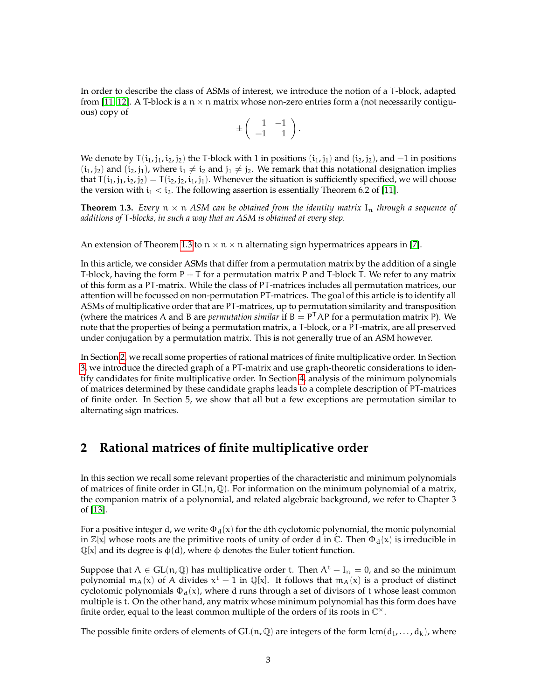In order to describe the class of ASMs of interest, we introduce the notion of a T-block, adapted from [\[11,](#page-21-10) [12\]](#page-21-11). A T-block is a  $n \times n$  matrix whose non-zero entries form a (not necessarily contiguous) copy of

$$
\pm \left( \begin{array}{cc} 1 & -1 \\ -1 & 1 \end{array} \right).
$$

We denote by  $T(i_1, j_1, i_2, j_2)$  the T-block with 1 in positions  $(i_1, j_1)$  and  $(i_2, j_2)$ , and  $-1$  in positions  $(i_1, j_2)$  and  $(i_2, j_1)$ , where  $i_1 \neq i_2$  and  $j_1 \neq j_2$ . We remark that this notational designation implies that  $T(i_1, j_1, i_2, j_2) = T(i_2, j_2, i_1, j_1)$ . Whenever the situation is sufficiently specified, we will choose the version with  $i_1 < i_2$ . The following assertion is essentially Theorem 6.2 of [\[11\]](#page-21-10).

<span id="page-2-0"></span>**Theorem 1.3.** *Every*  $n \times n$  *ASM can be obtained from the identity matrix*  $I_n$  *through a sequence of additions of* T*-blocks, in such a way that an ASM is obtained at every step.*

An extension of Theorem [1.3](#page-2-0) to  $n \times n \times n$  alternating sign hypermatrices appears in [\[7\]](#page-21-6).

In this article, we consider ASMs that differ from a permutation matrix by the addition of a single T-block, having the form  $P + T$  for a permutation matrix P and T-block T. We refer to any matrix of this form as a PT-matrix. While the class of PT-matrices includes all permutation matrices, our attention will be focussed on non-permutation PT-matrices. The goal of this article is to identify all ASMs of multiplicative order that are PT-matrices, up to permutation similarity and transposition (where the matrices A and B are *permutation similar* if  $B = P<sup>T</sup>AP$  for a permutation matrix P). We note that the properties of being a permutation matrix, a T-block, or a PT-matrix, are all preserved under conjugation by a permutation matrix. This is not generally true of an ASM however.

In Section [2,](#page-2-1) we recall some properties of rational matrices of finite multiplicative order. In Section [3,](#page-3-0) we introduce the directed graph of a PT-matrix and use graph-theoretic considerations to identify candidates for finite multiplicative order. In Section [4,](#page-8-0) analysis of the minimum polynomials of matrices determined by these candidate graphs leads to a complete description of PT-matrices of finite order. In Section 5, we show that all but a few exceptions are permutation similar to alternating sign matrices.

### <span id="page-2-1"></span>**2 Rational matrices of finite multiplicative order**

In this section we recall some relevant properties of the characteristic and minimum polynomials of matrices of finite order in  $GL(n, \mathbb{Q})$ . For information on the minimum polynomial of a matrix, the companion matrix of a polynomial, and related algebraic background, we refer to Chapter 3 of [\[13\]](#page-21-12).

For a positive integer d, we write  $\Phi_d(x)$  for the dth cyclotomic polynomial, the monic polynomial in  $\mathbb{Z}[x]$  whose roots are the primitive roots of unity of order d in  $\mathbb{C}$ . Then  $\Phi_d(x)$  is irreducible in  $\mathbb{Q}[x]$  and its degree is  $\varphi(d)$ , where  $\varphi$  denotes the Euler totient function.

Suppose that  $A \in GL(n, \mathbb{Q})$  has multiplicative order t. Then  $A<sup>t</sup> - I<sub>n</sub> = 0$ , and so the minimum polynomial  $m_A(x)$  of A divides  $x^t - 1$  in  $\mathbb{Q}[x]$ . It follows that  $m_A(x)$  is a product of distinct cyclotomic polynomials  $\Phi_d(x)$ , where d runs through a set of divisors of t whose least common multiple is t. On the other hand, any matrix whose minimum polynomial has this form does have finite order, equal to the least common multiple of the orders of its roots in  $\mathbb{C}^{\times}$ .

The possible finite orders of elements of GL(n,  $\mathbb{Q}$ ) are integers of the form  $lcm(\mathbf{d}_1, \dots, \mathbf{d}_k)$ , where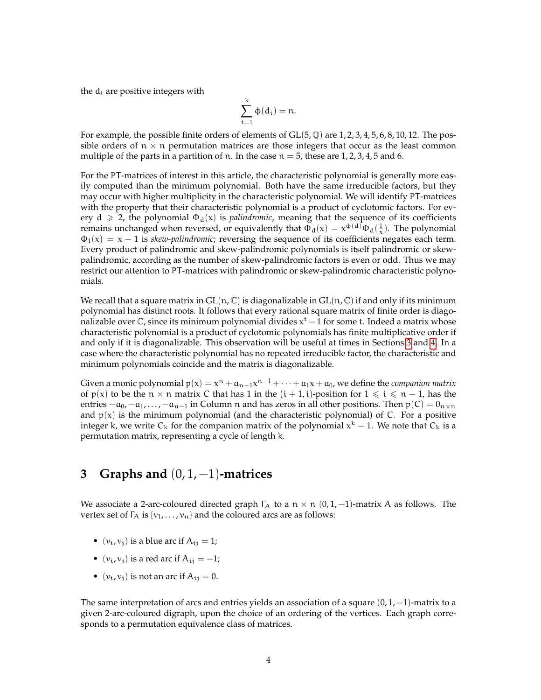the  $d_i$  are positive integers with

$$
\sum_{i=1}^k \varphi(d_i) = n.
$$

For example, the possible finite orders of elements of  $GL(5, \mathbb{Q})$  are 1, 2, 3, 4, 5, 6, 8, 10, 12. The possible orders of  $n \times n$  permutation matrices are those integers that occur as the least common multiple of the parts in a partition of n. In the case  $n = 5$ , these are 1, 2, 3, 4, 5 and 6.

For the PT-matrices of interest in this article, the characteristic polynomial is generally more easily computed than the minimum polynomial. Both have the same irreducible factors, but they may occur with higher multiplicity in the characteristic polynomial. We will identify PT-matrices with the property that their characteristic polynomial is a product of cyclotomic factors. For every  $d \ge 2$ , the polynomial  $\Phi_d(x)$  is *palindromic*, meaning that the sequence of its coefficients remains unchanged when reversed, or equivalently that  $\Phi_d(x) = x^{\Phi(d)} \Phi_d(\frac{1}{x})$ . The polynomial  $\Phi_1(x) = x - 1$  is *skew-palindromic*; reversing the sequence of its coefficients negates each term. Every product of palindromic and skew-palindromic polynomials is itself palindromic or skewpalindromic, according as the number of skew-palindromic factors is even or odd. Thus we may restrict our attention to PT-matrices with palindromic or skew-palindromic characteristic polynomials.

We recall that a square matrix in  $GL(n, \mathbb{C})$  is diagonalizable in  $GL(n, \mathbb{C})$  if and only if its minimum polynomial has distinct roots. It follows that every rational square matrix of finite order is diagonalizable over  $\mathbb C$ , since its minimum polynomial divides  $\mathsf x^{\mathsf t}-\hat{1}$  for some t. Indeed a matrix whose characteristic polynomial is a product of cyclotomic polynomials has finite multiplicative order if and only if it is diagonalizable. This observation will be useful at times in Sections [3](#page-3-0) and [4.](#page-8-0) In a case where the characteristic polynomial has no repeated irreducible factor, the characteristic and minimum polynomials coincide and the matrix is diagonalizable.

Given a monic polynomial  $p(x) = x^n + a_{n-1}x^{n-1} + \cdots + a_1x + a_0$ , we define the *companion matrix* of  $p(x)$  to be the  $n \times n$  matrix C that has 1 in the  $(i + 1, i)$ -position for  $1 \leq i \leq n - 1$ , has the entries  $-a_0, -a_1, \ldots, -a_{n-1}$  in Column n and has zeros in all other positions. Then  $p(C) = 0_{n \times n}$ and  $p(x)$  is the minimum polynomial (and the characteristic polynomial) of C. For a positive integer k, we write  $C_k$  for the companion matrix of the polynomial  $x^k - 1$ . We note that  $C_k$  is a permutation matrix, representing a cycle of length k.

## <span id="page-3-0"></span>**3 Graphs and** (0, 1, −1)**-matrices**

We associate a 2-arc-coloured directed graph  $\Gamma_A$  to a  $n \times n$  (0, 1, -1)-matrix A as follows. The vertex set of  $\Gamma_A$  is  $\{v_1, \ldots, v_n\}$  and the coloured arcs are as follows:

- $(v_i, v_j)$  is a blue arc if  $A_{ij} = 1$ ;
- ( $v_i$ ,  $v_j$ ) is a red arc if  $A_{ij} = -1$ ;
- $(v_i, v_j)$  is not an arc if  $A_{ij} = 0$ .

The same interpretation of arcs and entries yields an association of a square  $(0, 1, -1)$ -matrix to a given 2-arc-coloured digraph, upon the choice of an ordering of the vertices. Each graph corresponds to a permutation equivalence class of matrices.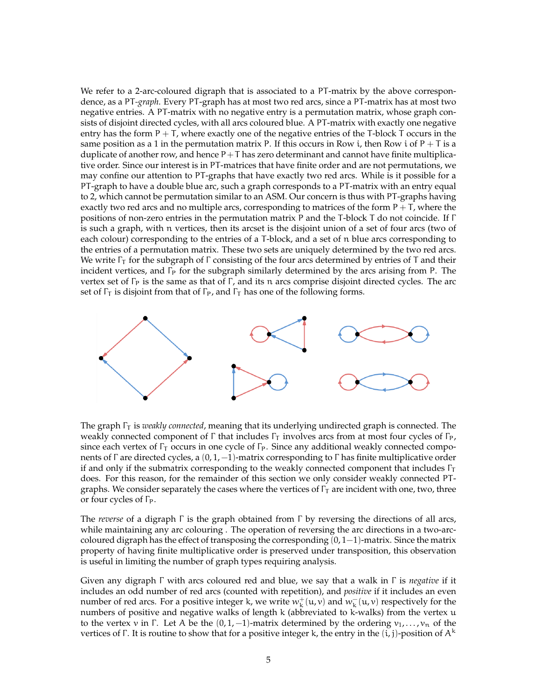We refer to a 2-arc-coloured digraph that is associated to a PT-matrix by the above correspondence, as a PT*-graph*. Every PT-graph has at most two red arcs, since a PT-matrix has at most two negative entries. A PT-matrix with no negative entry is a permutation matrix, whose graph consists of disjoint directed cycles, with all arcs coloured blue. A PT-matrix with exactly one negative entry has the form  $P + T$ , where exactly one of the negative entries of the T-block T occurs in the same position as a 1 in the permutation matrix P. If this occurs in Row i, then Row i of  $P + T$  is a duplicate of another row, and hence  $P+T$  has zero determinant and cannot have finite multiplicative order. Since our interest is in PT-matrices that have finite order and are not permutations, we may confine our attention to PT-graphs that have exactly two red arcs. While is it possible for a PT-graph to have a double blue arc, such a graph corresponds to a PT-matrix with an entry equal to 2, which cannot be permutation similar to an ASM. Our concern is thus with PT-graphs having exactly two red arcs and no multiple arcs, corresponding to matrices of the form  $P + T$ , where the positions of non-zero entries in the permutation matrix P and the T-block T do not coincide. If Γ is such a graph, with n vertices, then its arcset is the disjoint union of a set of four arcs (two of each colour) corresponding to the entries of a T-block, and a set of n blue arcs corresponding to the entries of a permutation matrix. These two sets are uniquely determined by the two red arcs. We write  $\Gamma_{\Gamma}$  for the subgraph of  $\Gamma$  consisting of the four arcs determined by entries of T and their incident vertices, and Γ<sub>P</sub> for the subgraph similarly determined by the arcs arising from P. The vertex set of  $\Gamma_P$  is the same as that of  $\Gamma$ , and its n arcs comprise disjoint directed cycles. The arc set of  $\Gamma_{\text{I}}$  is disjoint from that of  $\Gamma_{\text{P}}$ , and  $\Gamma_{\text{I}}$  has one of the following forms.



The graph Γ<sub>T</sub> is *weakly connected*, meaning that its underlying undirected graph is connected. The weakly connected component of Γ that includes  $Γ_τ$  involves arcs from at most four cycles of  $Γ_ρ$ , since each vertex of  $\Gamma$ <sup>T</sup> occurs in one cycle of  $\Gamma$ <sup>P</sup>. Since any additional weakly connected components of Γ are directed cycles, a  $(0, 1, -1)$ -matrix corresponding to Γ has finite multiplicative order if and only if the submatrix corresponding to the weakly connected component that includes  $\Gamma_{\text{I}}$ does. For this reason, for the remainder of this section we only consider weakly connected PTgraphs. We consider separately the cases where the vertices of  $\Gamma$ <sub>T</sub> are incident with one, two, three or four cycles of ΓP.

The *reverse* of a digraph Γ is the graph obtained from Γ by reversing the directions of all arcs, while maintaining any arc colouring . The operation of reversing the arc directions in a two-arccoloured digraph has the effect of transposing the corresponding  $(0, 1-1)$ -matrix. Since the matrix property of having finite multiplicative order is preserved under transposition, this observation is useful in limiting the number of graph types requiring analysis.

Given any digraph Γ with arcs coloured red and blue, we say that a walk in Γ is *negative* if it includes an odd number of red arcs (counted with repetition), and *positive* if it includes an even number of red arcs. For a positive integer k, we write  $w_k^+(u,v)$  and  $w_k^-(u,v)$  respectively for the numbers of positive and negative walks of length k (abbreviated to k-walks) from the vertex u to the vertex v in Γ. Let A be the  $(0, 1, -1)$ -matrix determined by the ordering  $v_1, \ldots, v_n$  of the vertices of Γ. It is routine to show that for a positive integer k, the entry in the  $(i, j)$ -position of  $A<sup>k</sup>$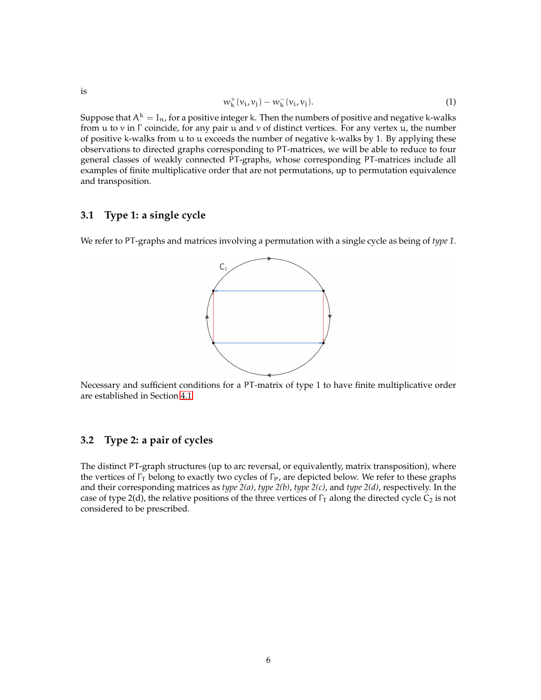$$
w_{\mathbf{k}}^{+}(v_{\mathbf{i}},v_{\mathbf{j}})-w_{\mathbf{k}}^{-}(v_{\mathbf{i}},v_{\mathbf{j}}).
$$
 (1)

Suppose that  $A^k = I_n$ , for a positive integer k. Then the numbers of positive and negative k-walks from u to v in  $\Gamma$  coincide, for any pair u and v of distinct vertices. For any vertex u, the number of positive k-walks from u to u exceeds the number of negative k-walks by 1. By applying these observations to directed graphs corresponding to PT-matrices, we will be able to reduce to four general classes of weakly connected PT-graphs, whose corresponding PT-matrices include all examples of finite multiplicative order that are not permutations, up to permutation equivalence and transposition.

#### **3.1 Type 1: a single cycle**

We refer to PT-graphs and matrices involving a permutation with a single cycle as being of *type 1*.



Necessary and sufficient conditions for a PT-matrix of type 1 to have finite multiplicative order are established in Section [4.1.](#page-10-0)

### **3.2 Type 2: a pair of cycles**

The distinct PT-graph structures (up to arc reversal, or equivalently, matrix transposition), where the vertices of  $\Gamma_{\rm T}$  belong to exactly two cycles of  $\Gamma_{\rm P}$ , are depicted below. We refer to these graphs and their corresponding matrices as *type 2(a)*, *type 2(b)*, *type 2(c)*, and *type 2(d)*, respectively. In the case of type 2(d), the relative positions of the three vertices of  $\Gamma_{\rm T}$  along the directed cycle C<sub>2</sub> is not considered to be prescribed.

is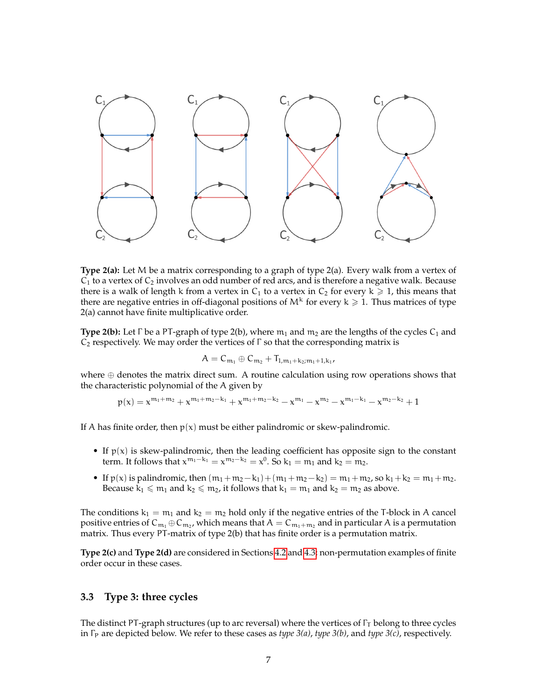

**Type 2(a):** Let M be a matrix corresponding to a graph of type 2(a). Every walk from a vertex of  $C_1$  to a vertex of  $C_2$  involves an odd number of red arcs, and is therefore a negative walk. Because there is a walk of length k from a vertex in  $C_1$  to a vertex in  $C_2$  for every k  $\geq 1$ , this means that there are negative entries in off-diagonal positions of  $M^k$  for every  $k \geq 1$ . Thus matrices of type 2(a) cannot have finite multiplicative order.

**Type 2(b):** Let  $\Gamma$  be a PT-graph of type 2(b), where  $m_1$  and  $m_2$  are the lengths of the cycles  $C_1$  and  $C_2$  respectively. We may order the vertices of  $\Gamma$  so that the corresponding matrix is

$$
A=C_{\mathfrak{m}_1}\oplus C_{\mathfrak{m}_2}+T_{1,m_1+k_2;m_1+1,k_1},
$$

where  $oplus$  denotes the matrix direct sum. A routine calculation using row operations shows that the characteristic polynomial of the A given by

$$
p(x)=x^{m_1+m_2}+x^{m_1+m_2-k_1}+x^{m_1+m_2-k_2}-x^{m_1}-x^{m_2}-x^{m_1-k_1}-x^{m_2-k_2}+1
$$

If A has finite order, then  $p(x)$  must be either palindromic or skew-palindromic.

- If  $p(x)$  is skew-palindromic, then the leading coefficient has opposite sign to the constant term. It follows that  $x^{m_1-k_1} = x^{m_2-k_2} = x^0$ . So  $k_1 = m_1$  and  $k_2 = m_2$ .
- If  $p(x)$  is palindromic, then  $(m_1 + m_2 k_1) + (m_1 + m_2 k_2) = m_1 + m_2$ , so  $k_1 + k_2 = m_1 + m_2$ . Because  $k_1 \leq m_1$  and  $k_2 \leq m_2$ , it follows that  $k_1 = m_1$  and  $k_2 = m_2$  as above.

The conditions  $k_1 = m_1$  and  $k_2 = m_2$  hold only if the negative entries of the T-block in A cancel positive entries of  ${\sf C}_{\sf m_1}\oplus{\sf C}_{\sf m_2}$ , which means that  ${\sf A}={\sf C}_{\sf m_1+m_2}$  and in particular  ${\sf A}$  is a permutation matrix. Thus every PT-matrix of type 2(b) that has finite order is a permutation matrix.

**Type 2(c)** and **Type 2(d)** are considered in Sections [4.2](#page-12-0) and [4.3;](#page-14-0) non-permutation examples of finite order occur in these cases.

#### **3.3 Type 3: three cycles**

The distinct PT-graph structures (up to arc reversal) where the vertices of  $\Gamma_{\rm T}$  belong to three cycles in Γ<sup>P</sup> are depicted below. We refer to these cases as *type 3(a)*, *type 3(b)*, and *type 3(c)*, respectively.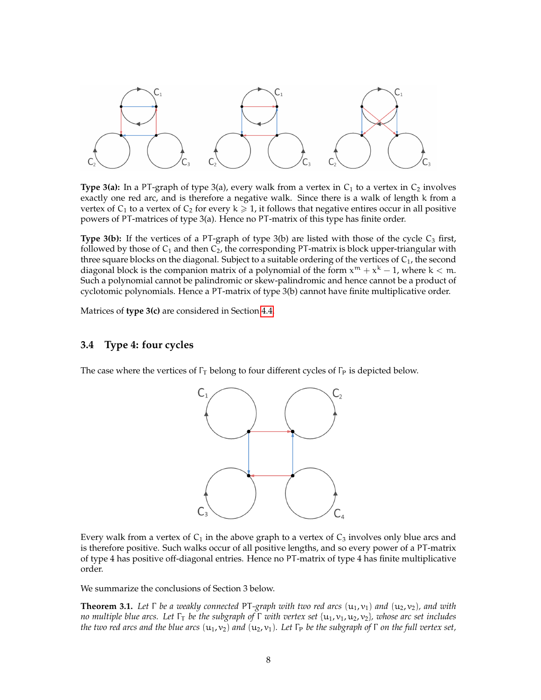

**Type 3(a):** In a PT-graph of type 3(a), every walk from a vertex in  $C_1$  to a vertex in  $C_2$  involves exactly one red arc, and is therefore a negative walk. Since there is a walk of length k from a vertex of  $C_1$  to a vertex of  $C_2$  for every  $k \geq 1$ , it follows that negative entires occur in all positive powers of PT-matrices of type 3(a). Hence no PT-matrix of this type has finite order.

**Type 3(b):** If the vertices of a PT-graph of type 3(b) are listed with those of the cycle C<sub>3</sub> first, followed by those of  $C_1$  and then  $C_2$ , the corresponding PT-matrix is block upper-triangular with three square blocks on the diagonal. Subject to a suitable ordering of the vertices of  $C_1$ , the second diagonal block is the companion matrix of a polynomial of the form  $x^m + x^k - 1$ , where  $k < m$ . Such a polynomial cannot be palindromic or skew-palindromic and hence cannot be a product of cyclotomic polynomials. Hence a PT-matrix of type 3(b) cannot have finite multiplicative order.

Matrices of **type 3(c)** are considered in Section [4.4.](#page-16-0)

#### **3.4 Type 4: four cycles**

The case where the vertices of  $\Gamma_T$  belong to four different cycles of  $\Gamma_P$  is depicted below.



Every walk from a vertex of  $C_1$  in the above graph to a vertex of  $C_3$  involves only blue arcs and is therefore positive. Such walks occur of all positive lengths, and so every power of a PT-matrix of type 4 has positive off-diagonal entries. Hence no PT-matrix of type 4 has finite multiplicative order.

We summarize the conclusions of Section 3 below.

<span id="page-7-0"></span>**Theorem 3.1.** *Let*  $\Gamma$  *be a weakly connected* PT-graph with two red arcs  $(u_1, v_1)$  and  $(u_2, v_2)$ *, and with no multiple blue arcs. Let* Γ<sup>T</sup> *be the subgraph of* Γ *with vertex set* {u1, v1, u2, v2}*, whose arc set includes the two red arcs and the blue arcs*  $(u_1, v_2)$  *and*  $(u_2, v_1)$ *. Let*  $\Gamma_P$  *be the subgraph of*  $\Gamma$  *on the full vertex set,*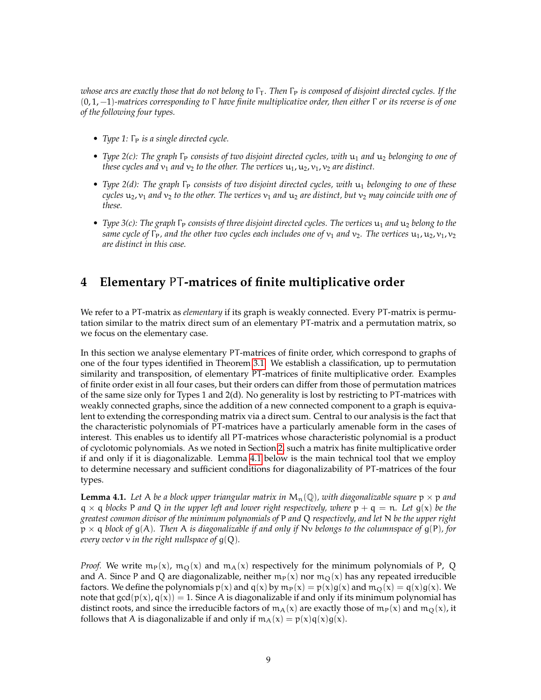*whose arcs are exactly those that do not belong to* Γ<sup>T</sup> *. Then* Γ<sup>P</sup> *is composed of disjoint directed cycles. If the* (0, 1, −1)*-matrices corresponding to* Γ *have finite multiplicative order, then either* Γ *or its reverse is of one of the following four types.*

- *Type 1:* Γ<sub>P</sub> *is a single directed cycle.*
- *Type 2(c): The graph* Γ<sub>P</sub> consists of two disjoint directed cycles, with  $u_1$  and  $u_2$  belonging to one of *these cycles and*  $v_1$  *and*  $v_2$  *to the other. The vertices*  $u_1$ ,  $u_2$ ,  $v_1$ ,  $v_2$  *are distinct.*
- *Type 2(d): The graph*  $\Gamma_P$  *consists of two disjoint directed cycles, with*  $u_1$  *belonging to one of these cycles*  $u_2$ ,  $v_1$  *and*  $v_2$  *to the other. The vertices*  $v_1$  *and*  $u_2$  *are distinct, but*  $v_2$  *may coincide with one of these.*
- *Type 3(c): The graph* Γ<sub>P</sub> consists of three disjoint directed cycles. The vertices  $u_1$  and  $u_2$  belong to the *same cycle of*  $\Gamma_P$ *, and the other two cycles each includes one of*  $v_1$  *and*  $v_2$ *. The vertices*  $u_1$ ,  $u_2$ ,  $v_1$ ,  $v_2$ *are distinct in this case.*

### <span id="page-8-0"></span>**4 Elementary** PT**-matrices of finite multiplicative order**

We refer to a PT-matrix as *elementary* if its graph is weakly connected. Every PT-matrix is permutation similar to the matrix direct sum of an elementary PT-matrix and a permutation matrix, so we focus on the elementary case.

In this section we analyse elementary PT-matrices of finite order, which correspond to graphs of one of the four types identified in Theorem [3.1.](#page-7-0) We establish a classification, up to permutation similarity and transposition, of elementary PT-matrices of finite multiplicative order. Examples of finite order exist in all four cases, but their orders can differ from those of permutation matrices of the same size only for Types 1 and 2(d). No generality is lost by restricting to PT-matrices with weakly connected graphs, since the addition of a new connected component to a graph is equivalent to extending the corresponding matrix via a direct sum. Central to our analysis is the fact that the characteristic polynomials of PT-matrices have a particularly amenable form in the cases of interest. This enables us to identify all PT-matrices whose characteristic polynomial is a product of cyclotomic polynomials. As we noted in Section [2,](#page-2-1) such a matrix has finite multiplicative order if and only if it is diagonalizable. Lemma [4.1](#page-8-1) below is the main technical tool that we employ to determine necessary and sufficient conditions for diagonalizability of PT-matrices of the four types.

<span id="page-8-1"></span>**Lemma 4.1.** Let A be a block upper triangular matrix in  $M_n(\mathbb{Q})$ , with diagonalizable square  $p \times p$  and  $q \times q$  *blocks* P *and* Q *in the upper left and lower right respectively, where*  $p + q = n$ *. Let*  $q(x)$  *be the greatest common divisor of the minimum polynomials of* P *and* Q *respectively, and let* N *be the upper right* p × q *block of* g(A)*. Then* A *is diagonalizable if and only if* Nv *belongs to the columnspace of* g(P)*, for every vector* v *in the right nullspace of* g(Q)*.*

*Proof.* We write  $m_p(x)$ ,  $m_Q(x)$  and  $m_A(x)$  respectively for the minimum polynomials of P, Q and A. Since P and Q are diagonalizable, neither  $m_P(x)$  nor  $m_Q(x)$  has any repeated irreducible factors. We define the polynomials  $p(x)$  and  $q(x)$  by  $m_P(x) = p(x)g(x)$  and  $m_Q(x) = q(x)g(x)$ . We note that  $gcd(p(x), q(x)) = 1$ . Since A is diagonalizable if and only if its minimum polynomial has distinct roots, and since the irreducible factors of  $m_A(x)$  are exactly those of  $m_P(x)$  and  $m_O(x)$ , it follows that A is diagonalizable if and only if  $m_A(x) = p(x)q(x)g(x)$ .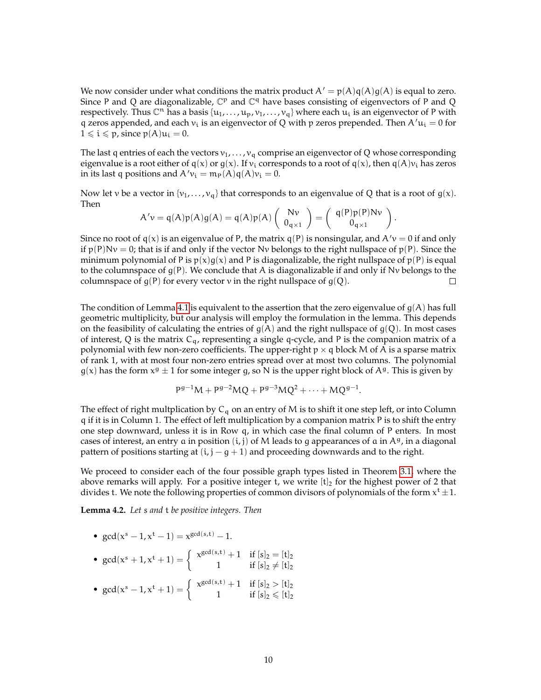We now consider under what conditions the matrix product  $A' = p(A)q(A)g(A)$  is equal to zero. Since P and Q are diagonalizable,  $\mathbb{C}^p$  and  $\mathbb{C}^q$  have bases consisting of eigenvectors of P and Q respectively. Thus  $\mathbb C^n$  has a basis  $\{u_1,\ldots,u_p,v_1,\ldots,v_q\}$  where each  $\overline{u}_i$  is an eigenvector of P with q zeros appended, and each  $v_i$  is an eigenvector of Q with p zeros prepended. Then A' $u_i = 0$  for  $1 \leq i \leq p$ , since  $p(A)u_i = 0$ .

The last q entries of each the vectors  $v_1, \ldots, v_q$  comprise an eigenvector of Q whose corresponding eigenvalue is a root either of  $q(x)$  or  $g(x)$ . If  $v_i$  corresponds to a root of  $q(x)$ , then  $q(A)v_i$  has zeros in its last q positions and  $A'v_i = m_P(A)q(A)v_i = 0$ .

Now let v be a vector in  $\{v_1, \ldots, v_q\}$  that corresponds to an eigenvalue of Q that is a root of  $g(x)$ . Then

$$
A'v = q(A)p(A)g(A) = q(A)p(A) \begin{pmatrix} Nv \\ 0_{q \times 1} \end{pmatrix} = \begin{pmatrix} q(P)p(P)Nv \\ 0_{q \times 1} \end{pmatrix}.
$$

Since no root of  $q(x)$  is an eigenvalue of P, the matrix  $q(P)$  is nonsingular, and  $A'v = 0$  if and only if  $p(P)Nv = 0$ ; that is if and only if the vector Nv belongs to the right nullspace of  $p(P)$ . Since the minimum polynomial of P is  $p(x)g(x)$  and P is diagonalizable, the right nullspace of  $p(P)$  is equal to the columnspace of  $g(P)$ . We conclude that A is diagonalizable if and only if Nv belongs to the columnspace of  $g(P)$  for every vector v in the right nullspace of  $g(Q)$ .  $\Box$ 

The condition of Lemma [4.1](#page-8-1) is equivalent to the assertion that the zero eigenvalue of  $g(A)$  has full geometric multiplicity, but our analysis will employ the formulation in the lemma. This depends on the feasibility of calculating the entries of  $g(A)$  and the right nullspace of  $g(Q)$ . In most cases of interest, Q is the matrix  $C_q$ , representing a single q-cycle, and P is the companion matrix of a polynomial with few non-zero coefficients. The upper-right  $p \times q$  block M of A is a sparse matrix of rank 1, with at most four non-zero entries spread over at most two columns. The polynomial  $g(x)$  has the form  $x^g \pm 1$  for some integer g, so N is the upper right block of  $A^g$ . This is given by

$$
P^{g-1}M + P^{g-2}MQ + P^{g-3}MQ^2 + \cdots + MQ^{g-1}.
$$

The effect of right multplication by  $C_q$  on an entry of M is to shift it one step left, or into Column q if it is in Column 1. The effect of left multiplication by a companion matrix P is to shift the entry one step downward, unless it is in Row q, in which case the final column of P enters. In most cases of interest, an entry a in position  $(i, j)$  of M leads to g appearances of a in  $A<sup>g</sup>$ , in a diagonal pattern of positions starting at  $(i, j - g + 1)$  and proceeding downwards and to the right.

We proceed to consider each of the four possible graph types listed in Theorem [3.1,](#page-7-0) where the above remarks will apply. For a positive integer t, we write  $[t]_2$  for the highest power of 2 that divides t. We note the following properties of common divisors of polynomials of the form  $x^t \pm 1$ .

<span id="page-9-0"></span>**Lemma 4.2.** *Let* s *and* t *be positive integers. Then*

• 
$$
\gcd(x^s - 1, x^t - 1) = x^{\gcd(s, t)} - 1.
$$

- $gcd(x^{s} + 1, x^{t} + 1) = \begin{cases} x^{gcd(s,t)} + 1 & \text{if } [s]_{2} = [t]_{2} \\ 1 & \text{if } [s]_{2} \neq [t] \end{cases}$ 1 if  $[s]_2 \neq [t]_2$
- $gcd(x^{s} 1, x^{t} + 1) = \begin{cases} x^{gcd(s,t)} + 1 & \text{if } [s]_{2} > [t]_{2} \\ 1 & \text{if } [s]_{2} > [t] \end{cases}$ 1 if  $[s]_2 \leq [t]_2$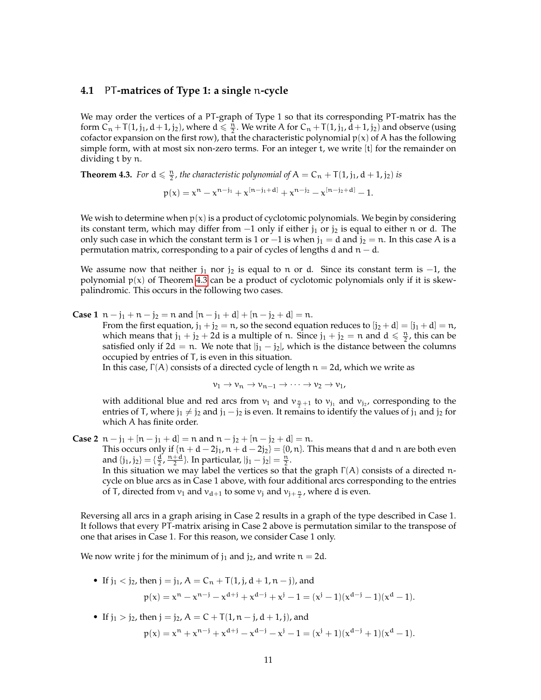#### <span id="page-10-0"></span>**4.1** PT**-matrices of Type 1: a single** n**-cycle**

We may order the vertices of a PT-graph of Type 1 so that its corresponding PT-matrix has the form  $C_n + T(1, j_1, d+1, j_2)$ , where  $d \leq \frac{n}{2}$ . We write A for  $C_n + T(1, j_1, d+1, j_2)$  and observe (using cofactor expansion on the first row), that the characteristic polynomial  $p(x)$  of A has the following simple form, with at most six non-zero terms. For an integer t, we write [t] for the remainder on dividing t by n.

<span id="page-10-1"></span>**Theorem 4.3.** For  $d \leq \frac{n}{2}$ , the characteristic polynomial of  $A = C_n + T(1, j_1, d + 1, j_2)$  is

$$
p(x) = x^n - x^{n-j_1} + x^{[n-j_1+d]} + x^{n-j_2} - x^{[n-j_2+d]} - 1.
$$

We wish to determine when  $p(x)$  is a product of cyclotomic polynomials. We begin by considering its constant term, which may differ from  $-1$  only if either  $j_1$  or  $j_2$  is equal to either n or d. The only such case in which the constant term is 1 or  $-1$  is when  $j_1 = d$  and  $j_2 = n$ . In this case A is a permutation matrix, corresponding to a pair of cycles of lengths d and  $n - d$ .

We assume now that neither  $j_1$  nor  $j_2$  is equal to n or d. Since its constant term is  $-1$ , the polynomial  $p(x)$  of Theorem [4.3](#page-10-1) can be a product of cyclotomic polynomials only if it is skewpalindromic. This occurs in the following two cases.

**Case 1**  $n - j_1 + n - j_2 = n$  and  $[n - j_1 + d] + [n - j_2 + d] = n$ .

From the first equation,  $j_1 + j_2 = n$ , so the second equation reduces to  $[j_2 + d] = [j_1 + d] = n$ , which means that  $j_1 + j_2 + 2d$  is a multiple of n. Since  $j_1 + j_2 = n$  and  $d \le \frac{n}{2}$ , this can be satisfied only if 2d = n. We note that  $|j_1 - j_2|$ , which is the distance between the columns occupied by entries of T, is even in this situation.

In this case,  $\Gamma(A)$  consists of a directed cycle of length  $n = 2d$ , which we write as

 $v_1 \rightarrow v_n \rightarrow v_{n-1} \rightarrow \cdots \rightarrow v_2 \rightarrow v_1$ 

with additional blue and red arcs from  $v_1$  and  $v_{\frac{n}{2}+1}$  to  $v_{j_1}$  and  $v_{j_2}$ , corresponding to the entries of T, where  $j_1 \neq j_2$  and  $j_1 - j_2$  is even. It remains to identify the values of  $j_1$  and  $j_2$  for which A has finite order.

**Case 2**  $n - j_1 + [n - j_1 + d] = n$  and  $n - j_2 + [n - j_2 + d] = n$ . This occurs only if  $\{n + d - 2j_1, n + d - 2j_2\} = \{0, n\}$ . This means that d and n are both even and  $\{j_1, j_2\} = \{\frac{d}{2}, \frac{n+d}{2}\}.$  In particular,  $|j_1 - j_2| = \frac{n}{2}.$ In this situation we may label the vertices so that the graph  $\Gamma(A)$  consists of a directed ncycle on blue arcs as in Case 1 above, with four additional arcs corresponding to the entries of T, directed from  $v_1$  and  $v_{d+1}$  to some  $v_j$  and  $v_{j+\frac{n}{2}}$ , where d is even.

Reversing all arcs in a graph arising in Case 2 results in a graph of the type described in Case 1. It follows that every PT-matrix arising in Case 2 above is permutation similar to the transpose of one that arises in Case 1. For this reason, we consider Case 1 only.

We now write j for the minimum of  $j_1$  and  $j_2$ , and write  $n = 2d$ .

• If 
$$
j_1 < j_2
$$
, then  $j = j_1$ ,  $A = C_n + T(1, j, d + 1, n - j)$ , and  
\n
$$
p(x) = x^n - x^{n-j} - x^{d+j} + x^{d-j} + x^j - 1 = (x^j - 1)(x^{d-j} - 1)(x^d - 1).
$$

• If  $j_1 > j_2$ , then  $j = j_2$ ,  $A = C + T(1, n - j, d + 1, j)$ , and

$$
p(x) = x^{n} + x^{n-j} + x^{d+j} - x^{d-j} - x^{j} - 1 = (x^{j} + 1)(x^{d-j} + 1)(x^{d} - 1).
$$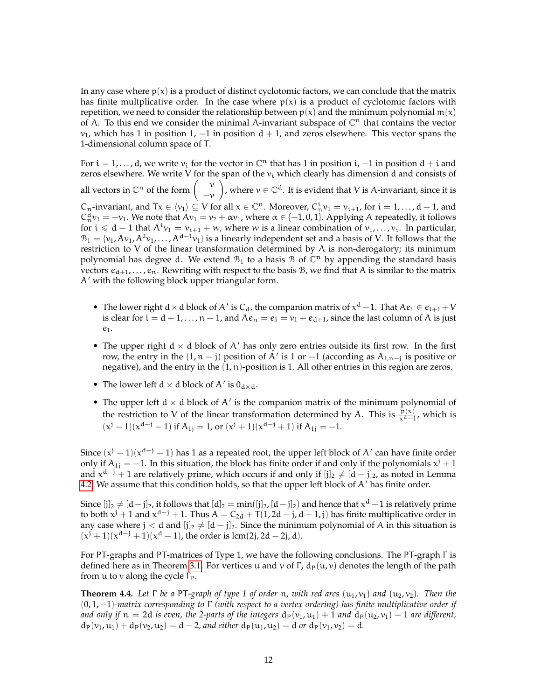In any case where  $p(x)$  is a product of distinct cyclotomic factors, we can conclude that the matrix has finite multplicative order. In the case where  $p(x)$  is a product of cyclotomic factors with repetition, we need to consider the relationship between  $p(x)$  and the minimum polynomial  $m(x)$ of A. To this end we consider the minimal A-invariant subspace of  $\mathbb{C}^n$  that contains the vector  $v_1$ , which has 1 in position 1, -1 in position d + 1, and zeros elsewhere. This vector spans the 1-dimensional column space of T.

For  $i = 1, ..., d$ , we write  $v_i$  for the vector in  $\mathbb{C}^n$  that has 1 in position  $i, -1$  in position  $d + i$  and zeros elsewhere. We write V for the span of the  $v_i$  which clearly has dimension d and consists of all vectors in  $\mathbb{C}^n$  of the form  $\begin{pmatrix} v \\ v \end{pmatrix}$  $-\nu$ ), where  $v \in \mathbb{C}^d$ . It is evident that V is A-invariant, since it is  $C_n$ -invariant, and  $Tx \in \langle v_1 \rangle \subseteq V$  for all  $x \in \mathbb{C}^n$ . Moreover,  $C_n^i v_1 = v_{i+1}$ , for  $i = 1, ..., d-1$ , and  $C_n^d v_1 = -v_1$ . We note that  $Av_1 = v_2 + \alpha v_1$ , where  $\alpha \in \{-1,0,1\}$ . Applying A repeatedly, it follows for  $i \le d - 1$  that  $A^i v_1 = v_{i+1} + w$ , where w is a linear combination of  $v_1, \ldots, v_i$ . In particular,  $\mathcal{B}_1 = \{v_1, Av_1, A^2v_1, \ldots, A^{d-1}v_1\}$  is a linearly independent set and a basis of V. It follows that the restriction to V of the linear transformation determined by A is non-derogatory; its minimum polynomial has degree d. We extend  $\mathcal{B}_1$  to a basis  $\mathcal{B}$  of  $\mathbb{C}^n$  by appending the standard basis vectors  $e_{d+1}, \ldots, e_n$ . Rewriting with respect to the basis B, we find that A is similar to the matrix  $A'$  with the following block upper triangular form.

- The lower right  $d \times d$  block of A' is C<sub>d</sub>, the companion matrix of  $x^d 1$ . That  $Ae_i \in e_{i+1} + V$ is clear for  $i = d + 1, ..., n - 1$ , and  $Ae_n = e_1 = v_1 + e_{d+1}$ , since the last column of A is just  $e_1$ .
- The upper right  $d \times d$  block of A' has only zero entries outside its first row. In the first row, the entry in the  $(1, n - j)$  position of A' is 1 or  $-1$  (according as  $A_{1,n-j}$  is positive or negative), and the entry in the  $(1, n)$ -position is 1. All other entries in this region are zeros.
- The lower left  $d \times d$  block of A' is  $0_{d \times d}$ .
- The upper left  $d \times d$  block of A' is the companion matrix of the minimum polynomial of the restriction to V of the linear transformation determined by A. This is  $\frac{p(x)}{x^d-1}$ , which is  $(x^{j} - 1)(x^{d-j} - 1)$  if  $A_{1j} = 1$ , or  $(x^{j} + 1)(x^{d-j} + 1)$  if  $A_{1j} = -1$ .

Since  $(x^{j} - 1)(x^{d-j} - 1)$  has 1 as a repeated root, the upper left block of A' can have finite order only if  $A_{1j} = -1$ . In this situation, the block has finite order if and only if the polynomials  $x^{j} + 1$ and  $x^{d-j} + 1$  are relatively prime, which occurs if and only if  $[j]_2 \neq [d - j]_2$ , as noted in Lemma [4.2.](#page-9-0) We assume that this condition holds, so that the upper left block of  $A'$  has finite order.

Since  $[j]_2\neq [d-j]_2$ , it follows that  $[d]_2=\min([j]_2, [d-j]_2)$  and hence that  $x^d-1$  is relatively prime to both  $x^j + 1$  and  $x^{d-j} + 1$ . Thus  $A = C_{2d} + T(1, 2d - j, d + 1, j)$  has finite multiplicative order in any case where  $j < d$  and  $[j]_2 \neq [d - j]_2$ . Since the minimum polynomial of A in this situation is  $(x^{j} + 1)(x^{d-j} + 1)(x^{d} - 1)$ , the order is lcm(2j, 2d – 2j, d).

For PT-graphs and PT-matrices of Type 1, we have the following conclusions. The PT-graph Γ is defined here as in Theorem [3.1.](#page-7-0) For vertices u and v of Γ,  $d_P(u, v)$  denotes the length of the path from  $u$  to  $v$  along the cycle  $\Gamma_{P}$ .

<span id="page-11-0"></span>**Theorem 4.4.** Let  $\Gamma$  be a PT-graph of type 1 of order n, with red arcs  $(u_1, v_1)$  and  $(u_2, v_2)$ . Then the (0, 1, −1)*-matrix corresponding to* Γ *(with respect to a vertex ordering) has finite multiplicative order if and only if*  $n = 2d$  *is even, the 2-parts of the integers*  $d_P(v_1, u_1) + 1$  *and*  $d_P(u_2, v_1) - 1$  *are different,*  $d_P(v_1, u_1) + d_P(v_2, u_2) = d - 2$ , and either  $d_P(u_1, u_2) = d$  or  $d_P(v_1, v_2) = d$ .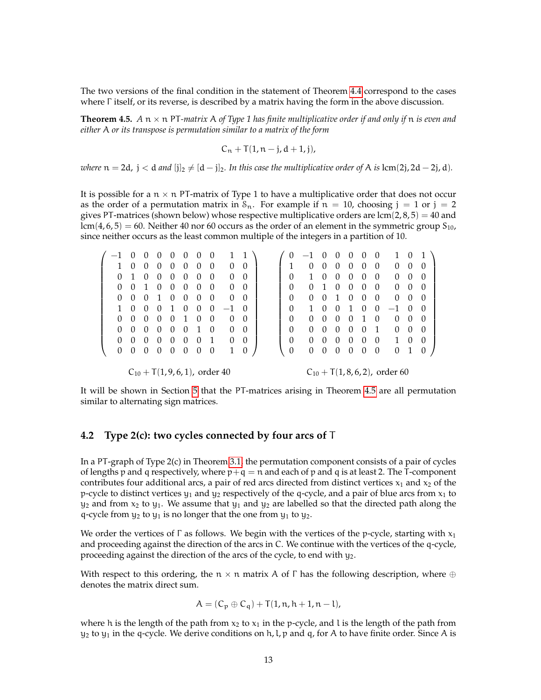The two versions of the final condition in the statement of Theorem [4.4](#page-11-0) correspond to the cases where Γ itself, or its reverse, is described by a matrix having the form in the above discussion.

<span id="page-12-1"></span>**Theorem 4.5.**  $A \text{ n} \times \text{n}$  PT-matrix A of Type 1 has finite multiplicative order if and only if  $\text{n}$  is even and *either* A *or its transpose is permutation similar to a matrix of the form*

$$
C_n + T(1, n - j, d + 1, j),
$$

*where*  $n = 2d$ ,  $j < d$  *and*  $[j]_2 \neq [d - j]_2$ *. In this case the multiplicative order of* A *is* lcm(2j, 2d – 2j, d)*.* 

It is possible for a  $n \times n$  PT-matrix of Type 1 to have a multiplicative order that does not occur as the order of a permutation matrix in  $S_n$ . For example if  $n = 10$ , choosing  $j = 1$  or  $j = 2$ gives PT-matrices (shown below) whose respective multiplicative orders are  $lcm(2, 8, 5) = 40$  and  $lcm(4, 6, 5) = 60$ . Neither 40 nor 60 occurs as the order of an element in the symmetric group  $S_{10}$ , since neither occurs as the least common multiple of the integers in a partition of 10.

|  |  |                 |  |  | $-1$ 0 0 0 0 0 0 0 1 1                   |  |          |  |  |  | $(0 -1 0 0 0 0 0 1 0 1)$                          |  |  |
|--|--|-----------------|--|--|------------------------------------------|--|----------|--|--|--|---------------------------------------------------|--|--|
|  |  |                 |  |  | 1 0 0 0 0 0 0 0 0 0                      |  |          |  |  |  | 1 0 0 0 0 0 0 0 0 0                               |  |  |
|  |  | 0 1 0 0 0 0 0 0 |  |  | $0\quad 0$                               |  |          |  |  |  | 0 1 0 0 0 0 0 0 0 0                               |  |  |
|  |  | 0 0 1 0 0 0 0 0 |  |  | $0\quad 0$                               |  | $\Omega$ |  |  |  | 0 1 0 0 0 0 0 0 0                                 |  |  |
|  |  |                 |  |  | 0 0 0 1 0 0 0 0 0 0                      |  |          |  |  |  | 0 0 0 1 0 0 0 0 0 0                               |  |  |
|  |  |                 |  |  | $1 \t0 \t0 \t0 \t1 \t0 \t0 \t0 \t-1 \t0$ |  |          |  |  |  | $0 \t 1 \t 0 \t 0 \t 1 \t 0 \t 0 \t -1 \t 0 \t 0$ |  |  |
|  |  |                 |  |  | 0 0 0 0 0 1 0 0 0 0                      |  |          |  |  |  | 0 0 0 0 0 1 0 0 0 0                               |  |  |
|  |  |                 |  |  | 0 0 0 0 0 0 1 0 0 0                      |  | $\Omega$ |  |  |  | 0 0 0 0 0 1 0 0 0                                 |  |  |
|  |  |                 |  |  | 0 0 0 0 0 0 0 1 0 0                      |  |          |  |  |  | 0 0 0 0 0 0 0 1 0 0                               |  |  |
|  |  |                 |  |  | 0 0 0 0 0 0 0 0 1 0                      |  |          |  |  |  | 0 0 0 0 0 0 0 0 1 0                               |  |  |
|  |  |                 |  |  |                                          |  |          |  |  |  |                                                   |  |  |

 $C_{10}$  + T(1, 9, 6, 1), order 40

 $C_{10}$  + T(1, 8, 6, 2), order 60

It will be shown in Section [5](#page-16-1) that the PT-matrices arising in Theorem [4.5](#page-12-1) are all permutation similar to alternating sign matrices.

#### <span id="page-12-0"></span>**4.2 Type 2(c): two cycles connected by four arcs of** T

In a PT-graph of Type 2(c) in Theorem [3.1,](#page-7-0) the permutation component consists of a pair of cycles of lengths p and q respectively, where  $p+q = n$  and each of p and q is at least 2. The T-component contributes four additional arcs, a pair of red arcs directed from distinct vertices  $x_1$  and  $x_2$  of the p-cycle to distinct vertices  $y_1$  and  $y_2$  respectively of the q-cycle, and a pair of blue arcs from  $x_1$  to  $y_2$  and from  $x_2$  to  $y_1$ . We assume that  $y_1$  and  $y_2$  are labelled so that the directed path along the q-cycle from  $y_2$  to  $y_1$  is no longer that the one from  $y_1$  to  $y_2$ .

We order the vertices of  $\Gamma$  as follows. We begin with the vertices of the p-cycle, starting with  $x_1$ and proceeding against the direction of the arcs in C. We continue with the vertices of the q-cycle, proceeding against the direction of the arcs of the cycle, to end with  $y_2$ .

With respect to this ordering, the  $n \times n$  matrix A of  $\Gamma$  has the following description, where  $\oplus$ denotes the matrix direct sum.

$$
A = (C_p \oplus C_q) + T(1, n, h + 1, n - l),
$$

where h is the length of the path from  $x_2$  to  $x_1$  in the p-cycle, and l is the length of the path from  $y_2$  to  $y_1$  in the q-cycle. We derive conditions on h, l, p and q, for A to have finite order. Since A is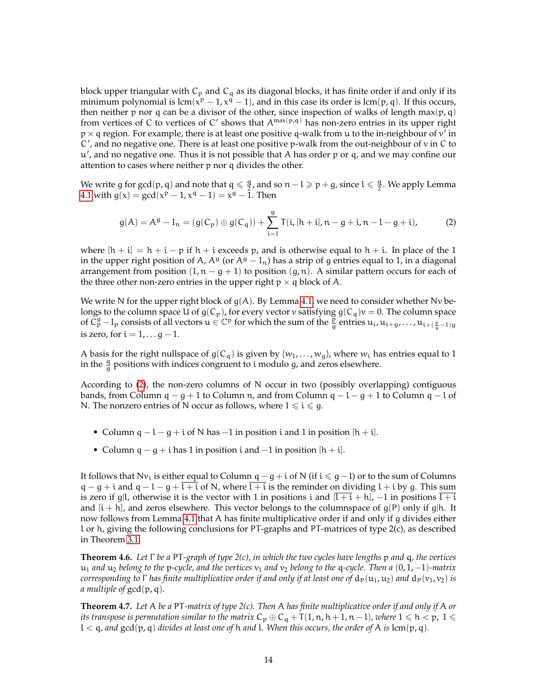block upper triangular with  $C_p$  and  $C_q$  as its diagonal blocks, it has finite order if and only if its minimum polynomial is  $lcm(x^p - 1, x^q - 1)$ , and in this case its order is  $lcm(p, q)$ . If this occurs, then neither p nor q can be a divisor of the other, since inspection of walks of length  $max(p, q)$ from vertices of C to vertices of C' shows that  $A^{max(p,q)}$  has non-zero entries in its upper right  $p \times q$  region. For example, there is at least one positive q-walk from u to the in-neighbour of  $v'$  in C', and no negative one. There is at least one positive p-walk from the out-neighbour of v in C to u 0 , and no negative one. Thus it is not possible that A has order p or q, and we may confine our attention to cases where neither p nor q divides the other.

We write g for gcd(p, q) and note that  $q \leq \frac{q}{2}$  $\frac{q}{2}$ , and so  $n - l \geqslant p + g$ , since  $l \leqslant \frac{q}{2}$  $\frac{q}{2}$ . We apply Lemma [4.1](#page-8-1) with  $g(x) = \gcd(x^p - 1, x^q - 1) = x^g - \overline{1}.$  Then

<span id="page-13-0"></span>
$$
g(A) = Ag - In = (g(Cp) \oplus g(Cq)) + \sum_{i=1}^{g} T(i, [h+i], n-g+i, n-l-g+i),
$$
 (2)

where  $[h + i] = h + i - p$  if  $h + i$  exceeds p, and is otherwise equal to  $h + i$ . In place of the 1 in the upper right position of A,  $A^g$  (or  $A^g - I_n$ ) has a strip of g entries equal to 1, in a diagonal arrangement from position  $(1, n - g + 1)$  to position  $(g, n)$ . A similar pattern occurs for each of the three other non-zero entries in the upper right  $p \times q$  block of A.

We write N for the upper right block of  $g(A)$ . By Lemma [4.1,](#page-8-1) we need to consider whether Nv belongs to the column space U of  $g(C_p)$ , for every vector v satisfying  $g(C_q)v = 0$ . The column space of  $\check{C}_{p}^{g}$   $-I_{p}$  consists of all vectors  $u \in \mathbb{C}^{p}$  for which the sum of the  $\frac{p}{g}$  entries  $u_{i}, u_{i+g}, \ldots, u_{i+(\frac{p}{g}-1)g}$ is zero, for  $i = 1, \ldots g - 1$ .

A basis for the right nullspace of  $g(C_q)$  is given by  $\{w_1, \ldots, w_q\}$ , where  $w_i$  has entries equal to 1 in the  $\frac{q}{g}$  positions with indices congruent to i modulo g, and zeros elsewhere.

According to [\(2\)](#page-13-0), the non-zero columns of N occur in two (possibly overlapping) contiguous bands, from Column q – g + 1 to Column n, and from Column q – l – g + 1 to Column q – l of N. The nonzero entries of N occur as follows, where  $1 \leq i \leq g$ .

- Column  $q l g + i$  of N has  $-1$  in position i and 1 in position  $[h + i]$ .
- Column  $q g + i$  has 1 in position i and  $-1$  in position  $[h + i]$ .

It follows that  $Nv_i$  is either equal to Column q – g + i of N (if i ≤ g – l) or to the sum of Columns  $q - g + i$  and  $q - l - g + l + i$  of N, where l + i is the reminder on dividing l + i by g. This sum is zero if g|l, otherwise it is the vector with 1 in positions i and  $[l + i + h]$ ,  $-1$  in positions  $l + i$ and  $[i + h]$ , and zeros elsewhere. This vector belongs to the columnspace of  $g(P)$  only if g|h. It now follows from Lemma [4.1](#page-8-1) that A has finite multiplicative order if and only if g divides either l or h, giving the following conclusions for PT-graphs and PT-matrices of type 2(c), as described in Theorem [3.1.](#page-7-0)

**Theorem 4.6.** *Let* Γ *be a* PT*-graph of type 2(c), in which the two cycles have lengths* p *and* q*, the vertices* u<sup>1</sup> *and* u<sup>2</sup> *belong to the* p*-cycle, and the vertices* v<sup>1</sup> *and* v<sup>2</sup> *belong to the* q*-cycle. Then a* (0, 1, −1)*-matrix corresponding to*  $\Gamma$  *has finite multiplicative order if and only if at least one of*  $d_P(u_1, u_2)$  *and*  $d_P(v_1, v_2)$  *is a multiple of* gcd(p, q)*.*

<span id="page-13-1"></span>**Theorem 4.7.** *Let* A *be a* PT*-matrix of type 2(c). Then* A *has finite multiplicative order if and only if* A *or its transpose is permutation similar to the matrix*  $C_p \oplus C_q + T(1, n, h + 1, n - l)$ *, where*  $1 \leqslant h < p$ ,  $1 \leqslant$  $l < q$ , and  $gcd(p, q)$  *divides at least one of*  $h$  *and*  $l$ *. When this occurs, the order of*  $A$  *is* lcm( $p, q$ ).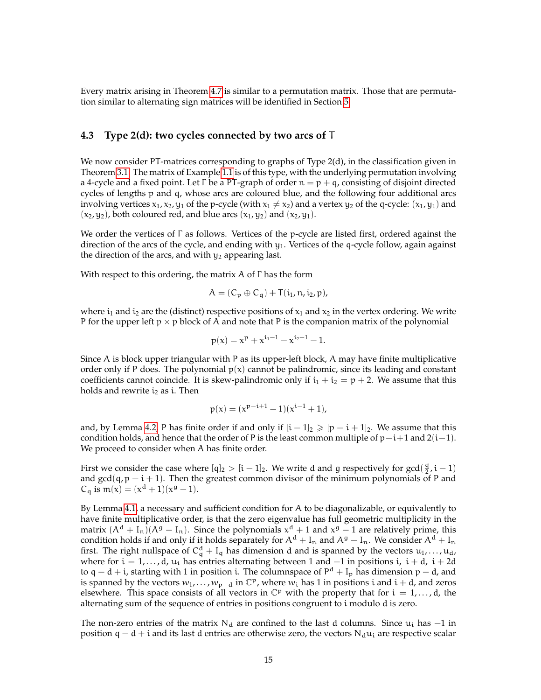Every matrix arising in Theorem [4.7](#page-13-1) is similar to a permutation matrix. Those that are permutation similar to alternating sign matrices will be identified in Section [5.](#page-16-1)

#### <span id="page-14-0"></span>**4.3 Type 2(d): two cycles connected by two arcs of** T

We now consider PT-matrices corresponding to graphs of Type 2(d), in the classification given in Theorem [3.1.](#page-7-0) The matrix of Example [1.1](#page-1-1) is of this type, with the underlying permutation involving a 4-cycle and a fixed point. Let Γ be a PT-graph of order  $n = p + q$ , consisting of disjoint directed cycles of lengths p and q, whose arcs are coloured blue, and the following four additional arcs involving vertices  $x_1, x_2, y_1$  of the p-cycle (with  $x_1 \neq x_2$ ) and a vertex  $y_2$  of the q-cycle:  $(x_1, y_1)$  and  $(x_2, y_2)$ , both coloured red, and blue arcs  $(x_1, y_2)$  and  $(x_2, y_1)$ .

We order the vertices of Γ as follows. Vertices of the p-cycle are listed first, ordered against the direction of the arcs of the cycle, and ending with  $y_1$ . Vertices of the q-cycle follow, again against the direction of the arcs, and with  $y_2$  appearing last.

With respect to this ordering, the matrix  $A$  of  $\Gamma$  has the form

$$
A=(C_p\oplus C_q)+T(i_1,n,i_2,p),
$$

where  $i_1$  and  $i_2$  are the (distinct) respective positions of  $x_1$  and  $x_2$  in the vertex ordering. We write P for the upper left  $p \times p$  block of A and note that P is the companion matrix of the polynomial

$$
p(x) = x^p + x^{i_1-1} - x^{i_2-1} - 1.
$$

Since A is block upper triangular with P as its upper-left block, A may have finite multiplicative order only if P does. The polynomial  $p(x)$  cannot be palindromic, since its leading and constant coefficients cannot coincide. It is skew-palindromic only if  $i_1 + i_2 = p + 2$ . We assume that this holds and rewrite  $i_2$  as i. Then

$$
p(x) = (x^{p-i+1} - 1)(x^{i-1} + 1),
$$

and, by Lemma [4.2,](#page-9-0) P has finite order if and only if  $[i - 1]_2 \geq (p - i + 1]_2$ . We assume that this condition holds, and hence that the order of P is the least common multiple of  $p-i+1$  and  $2(i-1)$ . We proceed to consider when A has finite order.

First we consider the case where  $[q]_2 > [i - 1]_2$ . We write d and g respectively for gcd( $\frac{q}{2}$ )  $\frac{q}{2}$ , i - 1) and  $gcd(q, p - i + 1)$ . Then the greatest common divisor of the minimum polynomials of P and  $C_q$  is  $m(x) = (x^d + 1)(x^g - 1)$ .

By Lemma [4.1,](#page-8-1) a necessary and sufficient condition for A to be diagonalizable, or equivalently to have finite multiplicative order, is that the zero eigenvalue has full geometric multiplicity in the matrix  $(A^d + I_n)(A^g - I_n)$ . Since the polynomials  $x^d + 1$  and  $x^g - 1$  are relatively prime, this condition holds if and only if it holds separately for  $A^d + I_n$  and  $A^g - I_n$ . We consider  $A^d + I_n$ first. The right nullspace of  $C_q^d + I_q$  has dimension d and is spanned by the vectors  $u_1, \ldots, u_d$ , where for  $i = 1, ..., d$ ,  $u_i$  has entries alternating between 1 and  $-1$  in positions i,  $i + d$ ,  $i + 2d$ to q – d + i, starting with 1 in position i. The columnspace of P<sup>d</sup> + I<sub>p</sub> has dimension p – d, and is spanned by the vectors  $w_1, \ldots, w_{p-d}$  in  $\mathbb{C}^p$ , where  $w_i$  has 1 in positions i and i + d, and zeros elsewhere. This space consists of all vectors in  $\mathbb{C}^p$  with the property that for  $i = 1, \ldots, d$ , the alternating sum of the sequence of entries in positions congruent to i modulo d is zero.

The non-zero entries of the matrix  $N_d$  are confined to the last d columns. Since  $u_i$  has  $-1$  in position q – d + i and its last d entries are otherwise zero, the vectors  $N_d u_i$  are respective scalar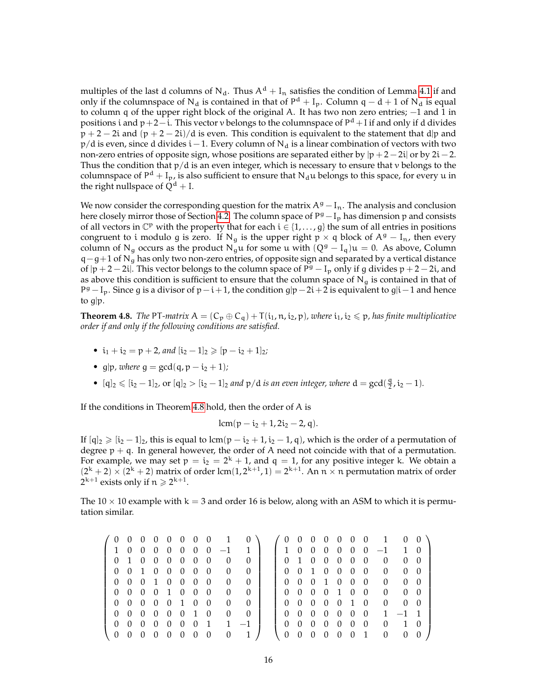multiples of the last d columns of N<sub>d</sub>. Thus  $A^d + I_n$  satisfies the condition of Lemma [4.1](#page-8-1) if and only if the columnspace of N<sub>d</sub> is contained in that of  $P^d + I_p$ . Column q – d + 1 of N<sub>d</sub> is equal to column q of the upper right block of the original A. It has two non zero entries; −1 and 1 in positions i and p+2−i. This vector v belongs to the columnspace of P<sup>d</sup> + I if and only if d divides  $p + 2 - 2i$  and  $(p + 2 - 2i)/d$  is even. This condition is equivalent to the statement that d|p and  $p/d$  is even, since d divides i – 1. Every column of N<sub>d</sub> is a linear combination of vectors with two non-zero entries of opposite sign, whose positions are separated either by  $|p + 2 - 2i|$  or by  $2i - 2$ . Thus the condition that  $p/d$  is an even integer, which is necessary to ensure that v belongs to the columnspace of  $P^d + I_p$ , is also sufficient to ensure that  $N_d u$  belongs to this space, for every u in the right nullspace of  $Q^d$  + I.

We now consider the corresponding question for the matrix  $A<sup>g</sup> - I<sub>n</sub>$ . The analysis and conclusion here closely mirror those of Section [4.2.](#page-12-0) The column space of P<sup>g</sup>  $-I_p$  has dimension p and consists of all vectors in  $\mathbb{C}^p$  with the property that for each  $i \in \{1, \ldots, g\}$  the sum of all entries in positions congruent to i modulo g is zero. If N<sub>g</sub> is the upper right p × q block of  $A^g - I_n$ , then every column of N<sub>q</sub> occurs as the product N<sub>q</sub>u for some u with  $(Q^g - I_q)u = 0$ . As above, Column  $q-q+1$  of N<sub>g</sub> has only two non-zero entries, of opposite sign and separated by a vertical distance of  $|p + 2 - 2i|$ . This vector belongs to the column space of  $P^g - I_p$  only if g divides  $p + 2 - 2i$ , and as above this condition is sufficient to ensure that the column space of  $N_g$  is contained in that of P<sup>g</sup> – I<sub>p</sub>. Since g is a divisor of p – i + 1, the condition g|p – 2i + 2 is equivalent to g|i – 1 and hence to g|p.

<span id="page-15-0"></span>**Theorem 4.8.** *The* PT*-matrix*  $A = (C_p \oplus C_q) + T(i_1, n, i_2, p)$ *, where*  $i_1, i_2 \leq p$ *, has finite multiplicative order if and only if the following conditions are satisfied.*

- $i_1 + i_2 = p + 2$ *, and*  $[i_2 1]_2 \geq p i_2 + 1]_2$ *;*
- g|p, where  $q = \gcd(q, p i_2 + 1)$ ;
- [q]<sub>2</sub>  $\leq$  [i<sub>2</sub> 1]<sub>2</sub>, or [q]<sub>2</sub>  $>$  [i<sub>2</sub> 1]<sub>2</sub> *and*  $p/d$  *is an even integer, where*  $d = \gcd(\frac{q}{2})$  $\frac{q}{2}$ , i<sub>2</sub> – 1).

If the conditions in Theorem [4.8](#page-15-0) hold, then the order of A is

$$
lcm(p-i_2+1,2i_2-2,q).
$$

If  $[q]_2 \geqslant [i_2 - 1]_2$ , this is equal to lcm(p –  $i_2 + 1$ ,  $i_2 - 1$ , q), which is the order of a permutation of degree  $p + q$ . In general however, the order of A need not coincide with that of a permutation. For example, we may set  $p = i_2 = 2^k + 1$ , and  $q = 1$ , for any positive integer k. We obtain a  $(2^k + 2) \times (2^k + 2)$  matrix of order lcm $(1, 2^{k+1}, 1) = 2^{k+1}$ . An  $n \times n$  permutation matrix of order  $2^{k+1}$  exists only if  $n \geqslant 2^{k+1}$ .

The 10  $\times$  10 example with k = 3 and order 16 is below, along with an ASM to which it is permutation similar.

|                |                   |                |                |                |                |                 |                |                                  | $(0\ 0\ 0\ 0\ 0\ 0\ 0\ 0\ 1\ 0\ 0\ 0\ 0\ 0\ 0\ 0\ 0\ 1\ 0\ 0]$ |                                               |  |            |     |                                      |            |  |
|----------------|-------------------|----------------|----------------|----------------|----------------|-----------------|----------------|----------------------------------|----------------------------------------------------------------|-----------------------------------------------|--|------------|-----|--------------------------------------|------------|--|
|                | 1 0 0             |                | $\overline{0}$ |                |                |                 |                | $0 \t0 \t0 \t0 \t-1 \t1$         |                                                                |                                               |  |            |     | $1 0 0 0 0 0 0 -1 1 0$               |            |  |
|                |                   |                |                |                |                | 0 1 0 0 0 0 0 0 |                | $0 \quad 0$                      |                                                                |                                               |  |            |     | 0 1 0 0 0 0 0 0 0 0                  |            |  |
|                |                   |                |                |                |                | 0 0 1 0 0 0 0 0 |                | $0 \quad 0$                      |                                                                |                                               |  |            |     | 0 0 1 0 0 0 0 0 0 0                  |            |  |
|                |                   |                |                |                |                | 0 0 0 1 0 0 0 0 |                | $0 \quad 0$                      |                                                                |                                               |  |            |     | 0 0 0 1 0 0 0 0 0 0                  |            |  |
|                |                   |                |                |                |                | 0 0 0 0 1 0 0 0 |                | $\begin{array}{c} 0 \end{array}$ |                                                                |                                               |  |            |     | 0 0 0 0 1 0 0 0 0 0 0                |            |  |
|                |                   |                |                |                |                | 0 0 0 0 0 1 0 0 |                | $\overline{0}$                   | $\bigcirc$                                                     |                                               |  |            |     | 0 0 0 0 0 1 0 0 0 0                  |            |  |
|                |                   |                |                |                |                | 0 0 0 0 0 0 1 0 |                | $0 \quad 0$                      |                                                                |                                               |  |            |     | $0 \t0 \t0 \t0 \t0 \t0 \t0 \t1 -1 1$ |            |  |
|                | $0\quad 0\quad 0$ |                |                |                |                |                 |                |                                  | $0 \t0 \t0 \t0 \t1 \t1 -1$                                     |                                               |  |            |     | 0 0 0 0 0 0 0 0 1 0                  |            |  |
| $\overline{0}$ | $\overline{0}$    | $\overline{0}$ | $\overline{0}$ | $\overline{0}$ | $\overline{0}$ | $\overline{0}$  | $\overline{0}$ | $\overline{0}$                   | $\begin{array}{ccc} & 1 & l \end{array}$                       | $\begin{pmatrix} 0 & 0 & 0 & 0 \end{pmatrix}$ |  | $0\quad 0$ | - 1 | $\overline{0}$                       | $0\quad 0$ |  |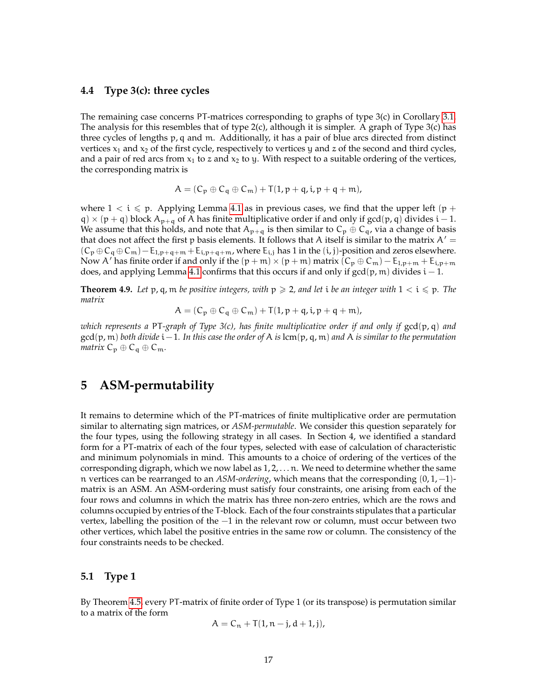#### <span id="page-16-0"></span>**4.4 Type 3(c): three cycles**

The remaining case concerns PT-matrices corresponding to graphs of type 3(c) in Corollary [3.1.](#page-7-0) The analysis for this resembles that of type 2(c), although it is simpler. A graph of Type 3(c) has three cycles of lengths p, q and m. Additionally, it has a pair of blue arcs directed from distinct vertices  $x_1$  and  $x_2$  of the first cycle, respectively to vertices y and z of the second and third cycles, and a pair of red arcs from  $x_1$  to z and  $x_2$  to y. With respect to a suitable ordering of the vertices, the corresponding matrix is

$$
A = (C_p \oplus C_q \oplus C_m) + T(1, p + q, i, p + q + m),
$$

where  $1 < i \leq p$ . Applying Lemma [4.1](#page-8-1) as in previous cases, we find that the upper left (p + q) × (p + q) block  $A_{p+q}$  of A has finite multiplicative order if and only if gcd(p, q) divides i – 1. We assume that this holds, and note that  $A_{p+q}$  is then similar to  $C_p \oplus C_q$ , via a change of basis that does not affect the first p basis elements. It follows that A itself is similar to the matrix  $A' =$  $(C_p \oplus C_q \oplus C_m) - E_{1,p+q+m} + E_{i,p+q+m}$ , where  $E_{i,j}$  has 1 in the  $(i,j)$ -position and zeros elsewhere. Now A' has finite order if and only if the  $(p + m) \times (p + m)$  matrix  $(C_p \oplus C_m) - E_{1,p+m} + E_{i,p+m}$ does, and applying Lemma [4.1](#page-8-1) confirms that this occurs if and only if  $gcd(p, m)$  divides  $i - 1$ .

**Theorem 4.9.** Let  $p$ ,  $q$ ,  $m$  *be positive integers, with*  $p \ge 2$ , and let *i be an integer with*  $1 < i \le p$ . The *matrix*

$$
A = (C_p \oplus C_q \oplus C_m) + T(1, p + q, i, p + q + m),
$$

*which represents a* PT*-graph of Type 3(c), has finite multiplicative order if and only if* gcd(p, q) *and* gcd(p, m) *both divide* i−1*. In this case the order of* A *is* lcm(p, q, m) *and* A *is similar to the permutation matrix*  $C_p \oplus C_q \oplus C_m$ .

### <span id="page-16-1"></span>**5 ASM-permutability**

It remains to determine which of the PT-matrices of finite multiplicative order are permutation similar to alternating sign matrices, or *ASM-permutable*. We consider this question separately for the four types, using the following strategy in all cases. In Section 4, we identified a standard form for a PT-matrix of each of the four types, selected with ease of calculation of characteristic and minimum polynomials in mind. This amounts to a choice of ordering of the vertices of the corresponding digraph, which we now label as  $1, 2, \ldots$  n. We need to determine whether the same n vertices can be rearranged to an *ASM-ordering*, which means that the corresponding (0, 1, −1) matrix is an ASM. An ASM-ordering must satisfy four constraints, one arising from each of the four rows and columns in which the matrix has three non-zero entries, which are the rows and columns occupied by entries of the T-block. Each of the four constraints stipulates that a particular vertex, labelling the position of the −1 in the relevant row or column, must occur between two other vertices, which label the positive entries in the same row or column. The consistency of the four constraints needs to be checked.

#### **5.1 Type 1**

By Theorem [4.5,](#page-12-1) every PT-matrix of finite order of Type 1 (or its transpose) is permutation similar to a matrix of the form

$$
A = C_n + T(1, n-j, d+1, j),
$$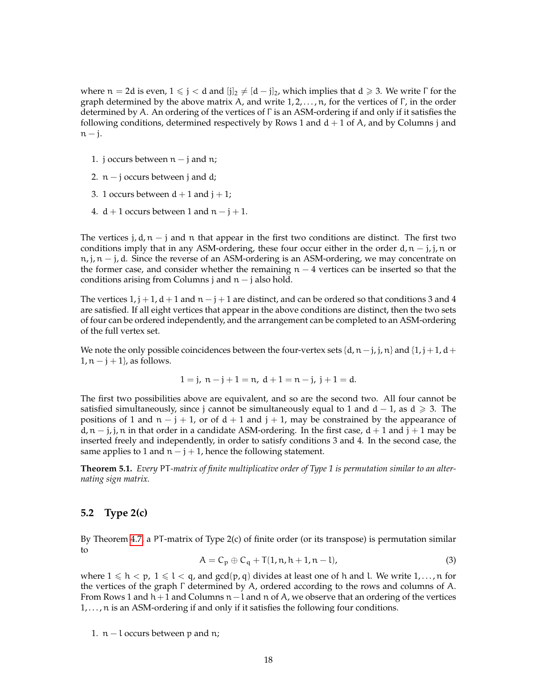where  $n = 2d$  is even,  $1 \leq j < d$  and  $[j]_2 \neq [d - j]_2$ , which implies that  $d \geq 3$ . We write  $\Gamma$  for the graph determined by the above matrix A, and write  $1, 2, \ldots, n$ , for the vertices of  $\Gamma$ , in the order determined by A. An ordering of the vertices of Γ is an ASM-ordering if and only if it satisfies the following conditions, determined respectively by Rows 1 and  $d + 1$  of A, and by Columns j and  $n - j$ .

- 1. j occurs between  $n j$  and  $n$ ;
- 2.  $n j$  occurs between j and d;
- 3. 1 occurs between  $d + 1$  and  $j + 1$ ;
- 4.  $d + 1$  occurs between 1 and  $n j + 1$ .

The vertices j,  $d, n - j$  and n that appear in the first two conditions are distinct. The first two conditions imply that in any ASM-ordering, these four occur either in the order  $d, n - j, j, n$  or  $n, j, n - j, d$ . Since the reverse of an ASM-ordering is an ASM-ordering, we may concentrate on the former case, and consider whether the remaining  $n - 4$  vertices can be inserted so that the conditions arising from Columns j and  $n - j$  also hold.

The vertices  $1, j + 1, d + 1$  and  $n - j + 1$  are distinct, and can be ordered so that conditions 3 and 4 are satisfied. If all eight vertices that appear in the above conditions are distinct, then the two sets of four can be ordered independently, and the arrangement can be completed to an ASM-ordering of the full vertex set.

We note the only possible coincidences between the four-vertex sets  $\{d, n-j, j, n\}$  and  $\{1, j+1, d+\}$  $1, n - j + 1$ , as follows.

$$
1 = j, n - j + 1 = n, d + 1 = n - j, j + 1 = d.
$$

The first two possibilities above are equivalent, and so are the second two. All four cannot be satisfied simultaneously, since j cannot be simultaneously equal to 1 and  $d - 1$ , as  $d \ge 3$ . The positions of 1 and  $n - j + 1$ , or of  $d + 1$  and  $j + 1$ , may be constrained by the appearance of d,  $n - j$ , j, n in that order in a candidate ASM-ordering. In the first case,  $d + 1$  and  $j + 1$  may be inserted freely and independently, in order to satisfy conditions 3 and 4. In the second case, the same applies to 1 and  $n - j + 1$ , hence the following statement.

**Theorem 5.1.** *Every* PT*-matrix of finite multiplicative order of Type 1 is permutation similar to an alternating sign matrix.*

#### **5.2 Type 2(c)**

By Theorem [4.7,](#page-13-1) a PT-matrix of Type 2(c) of finite order (or its transpose) is permutation similar to

<span id="page-17-0"></span>
$$
A = C_p \oplus C_q + T(1, n, h + 1, n - l), \tag{3}
$$

where  $1 \leqslant h < p$ ,  $1 \leqslant l < q$ , and  $gcd(p, q)$  divides at least one of h and l. We write  $1, \ldots, n$  for the vertices of the graph Γ determined by A, ordered according to the rows and columns of A. From Rows 1 and  $h+1$  and Columns  $n-l$  and n of A, we observe that an ordering of the vertices 1, ..., n is an ASM-ordering if and only if it satisfies the following four conditions.

1. n − l occurs between p and n;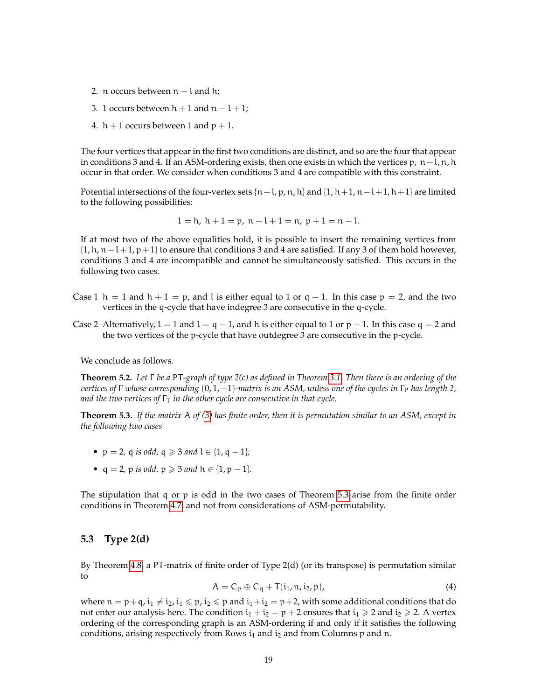- 2. n occurs between  $n l$  and h;
- 3. 1 occurs between  $h + 1$  and  $n l + 1$ ;
- 4.  $h + 1$  occurs between 1 and  $p + 1$ .

The four vertices that appear in the first two conditions are distinct, and so are the four that appear in conditions 3 and 4. If an ASM-ordering exists, then one exists in which the vertices  $p$ ,  $n-l$ ,  $n$ ,  $h$ occur in that order. We consider when conditions 3 and 4 are compatible with this constraint.

Potential intersections of the four-vertex sets  $\{n-l, p, n, h\}$  and  $\{1, h+1, n-l+1, h+1\}$  are limited to the following possibilities:

$$
1 = h, h + 1 = p, n - l + 1 = n, p + 1 = n - l.
$$

If at most two of the above equalities hold, it is possible to insert the remaining vertices from  $\{1, h, n-l+1, p+1\}$  to ensure that conditions 3 and 4 are satisfied. If any 3 of them hold however, conditions 3 and 4 are incompatible and cannot be simultaneously satisfied. This occurs in the following two cases.

- Case 1 h = 1 and h + 1 = p, and l is either equal to 1 or q − 1. In this case  $p = 2$ , and the two vertices in the q-cycle that have indegree 3 are consecutive in the q-cycle.
- Case 2 Alternatively,  $l = 1$  and  $l = q 1$ , and h is either equal to 1 or  $p 1$ . In this case q = 2 and the two vertices of the p-cycle that have outdegree 3 are consecutive in the p-cycle.

We conclude as follows.

**Theorem 5.2.** *Let* Γ *be a* PT*-graph of type 2(c) as defined in Theorem [3.1.](#page-7-0) Then there is an ordering of the vertices of* Γ *whose corresponding*  $(0, 1, -1)$ *-matrix is an ASM, unless one of the cycles in* Γ<sub>P</sub> *has length 2, and the two vertices of*  $\Gamma$ <sup>T</sup> *in the other cycle are consecutive in that cycle.* 

<span id="page-18-0"></span>**Theorem 5.3.** *If the matrix* A *of [\(3\)](#page-17-0) has finite order, then it is permutation similar to an ASM, except in the following two cases*

- $p = 2$ , q *is odd*,  $q \ge 3$  *and*  $l \in \{1, q 1\}$ ;
- $q = 2$ , p *is odd*,  $p \ge 3$  *and*  $h \in \{1, p 1\}$ *.*

The stipulation that q or p is odd in the two cases of Theorem [5.3](#page-18-0) arise from the finite order conditions in Theorem [4.7,](#page-13-1) and not from considerations of ASM-permutability.

#### **5.3 Type 2(d)**

By Theorem [4.8,](#page-15-0) a PT-matrix of finite order of Type 2(d) (or its transpose) is permutation similar to

<span id="page-18-1"></span>
$$
A = C_p \oplus C_q + T(i_1, n, i_2, p), \tag{4}
$$

where  $n = p + q$ ,  $i_1 \neq i_2$ ,  $i_1 \leq p$ ,  $i_2 \leq p$  and  $i_1 + i_2 = p + 2$ , with some additional conditions that do not enter our analysis here. The condition  $i_1 + i_2 = p + 2$  ensures that  $i_1 \ge 2$  and  $i_2 \ge 2$ . A vertex ordering of the corresponding graph is an ASM-ordering if and only if it satisfies the following conditions, arising respectively from Rows  $i_1$  and  $i_2$  and from Columns p and n.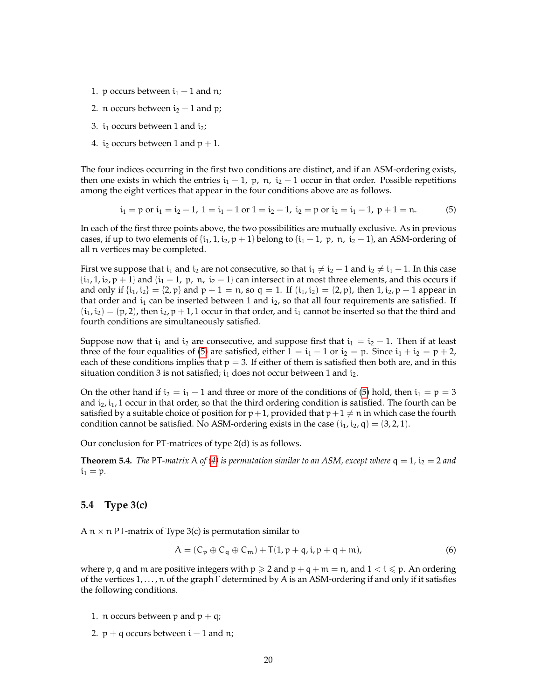- 1. p occurs between  $i_1 1$  and n;
- 2. n occurs between  $i_2 1$  and p;
- 3.  $i_1$  occurs between 1 and  $i_2$ ;
- 4. i<sub>2</sub> occurs between 1 and  $p + 1$ .

The four indices occurring in the first two conditions are distinct, and if an ASM-ordering exists, then one exists in which the entries  $i_1 - 1$ , p, n,  $i_2 - 1$  occur in that order. Possible repetitions among the eight vertices that appear in the four conditions above are as follows.

<span id="page-19-0"></span>
$$
i_1 = p
$$
 or  $i_1 = i_2 - 1$ ,  $1 = i_1 - 1$  or  $1 = i_2 - 1$ ,  $i_2 = p$  or  $i_2 = i_1 - 1$ ,  $p + 1 = n$ . (5)

In each of the first three points above, the two possibilities are mutually exclusive. As in previous cases, if up to two elements of  $\{i_1, 1, i_2, p + 1\}$  belong to  $\{i_1 - 1, p, n, i_2 - 1\}$ , an ASM-ordering of all n vertices may be completed.

First we suppose that  $i_1$  and  $i_2$  are not consecutive, so that  $i_1 \neq i_2 - 1$  and  $i_2 \neq i_1 - 1$ . In this case  $\{i_1, 1, i_2, p+1\}$  and  $\{i_1 - 1, p, n, i_2 - 1\}$  can intersect in at most three elements, and this occurs if and only if  $\{i_1, i_2\} = \{2, p\}$  and  $p + 1 = n$ , so  $q = 1$ . If  $(i_1, i_2) = (2, p)$ , then  $1, i_2, p + 1$  appear in that order and  $i_1$  can be inserted between 1 and  $i_2$ , so that all four requirements are satisfied. If  $(i_1,i_2) = (p, 2)$ , then  $i_2, p+1, 1$  occur in that order, and  $i_1$  cannot be inserted so that the third and fourth conditions are simultaneously satisfied.

Suppose now that  $i_1$  and  $i_2$  are consecutive, and suppose first that  $i_1 = i_2 - 1$ . Then if at least three of the four equalities of [\(5\)](#page-19-0) are satisfied, either  $1 = i_1 - 1$  or  $i_2 = p$ . Since  $i_1 + i_2 = p + 2$ , each of these conditions implies that  $p = 3$ . If either of them is satisfied then both are, and in this situation condition 3 is not satisfied;  $i_1$  does not occur between 1 and  $i_2$ .

On the other hand if  $i_2 = i_1 - 1$  and three or more of the conditions of [\(5\)](#page-19-0) hold, then  $i_1 = p = 3$ and  $i_2$ ,  $i_1$ , 1 occur in that order, so that the third ordering condition is satisfied. The fourth can be satisfied by a suitable choice of position for  $p+1$ , provided that  $p+1 \neq n$  in which case the fourth condition cannot be satisfied. No ASM-ordering exists in the case  $(i_1, i_2, q) = (3, 2, 1)$ .

Our conclusion for PT-matrices of type 2(d) is as follows.

**Theorem 5.4.** *The* PT-matrix A *of* [\(4\)](#page-18-1) *is permutation similar to an ASM, except where*  $q = 1$ *,*  $i_2 = 2$  *and*  $i_1 = p$ .

#### **5.4 Type 3(c)**

A  $n \times n$  PT-matrix of Type 3(c) is permutation similar to

<span id="page-19-1"></span>
$$
A = (C_p \oplus C_q \oplus C_m) + T(1, p + q, i, p + q + m), \tag{6}
$$

where p, q and m are positive integers with  $p \ge 2$  and  $p + q + m = n$ , and  $1 < i \le p$ . An ordering of the vertices 1, . . . , n of the graph Γ determined by A is an ASM-ordering if and only if it satisfies the following conditions.

- 1. n occurs between p and  $p + q$ ;
- 2.  $p + q$  occurs between  $i 1$  and n;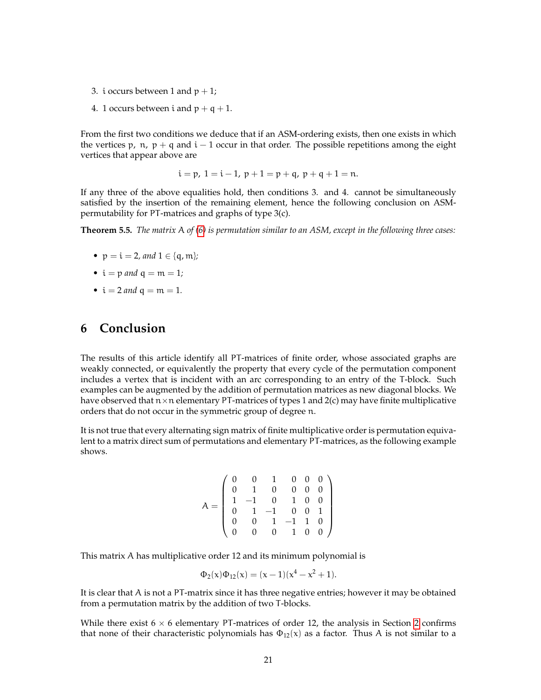- 3. i occurs between 1 and  $p + 1$ ;
- 4. 1 occurs between i and  $p + q + 1$ .

From the first two conditions we deduce that if an ASM-ordering exists, then one exists in which the vertices p,  $n$ ,  $p + q$  and  $i - 1$  occur in that order. The possible repetitions among the eight vertices that appear above are

$$
i = p
$$
,  $1 = i - 1$ ,  $p + 1 = p + q$ ,  $p + q + 1 = n$ .

If any three of the above equalities hold, then conditions 3. and 4. cannot be simultaneously satisfied by the insertion of the remaining element, hence the following conclusion on ASMpermutability for PT-matrices and graphs of type 3(c).

**Theorem 5.5.** *The matrix* A *of [\(6\)](#page-19-1) is permutation similar to an ASM, except in the following three cases:*

- $p = i = 2$ *, and*  $1 \in \{q, m\}$ ;
- $i = p$  *and*  $q = m = 1$ ;
- $i = 2$  *and*  $q = m = 1$ .

## **6 Conclusion**

The results of this article identify all PT-matrices of finite order, whose associated graphs are weakly connected, or equivalently the property that every cycle of the permutation component includes a vertex that is incident with an arc corresponding to an entry of the T-block. Such examples can be augmented by the addition of permutation matrices as new diagonal blocks. We have observed that  $n \times n$  elementary PT-matrices of types 1 and 2(c) may have finite multiplicative orders that do not occur in the symmetric group of degree n.

It is not true that every alternating sign matrix of finite multiplicative order is permutation equivalent to a matrix direct sum of permutations and elementary PT-matrices, as the following example shows.

$$
A = \left(\begin{array}{cccccc} 0 & 0 & 1 & 0 & 0 & 0 \\ 0 & 1 & 0 & 0 & 0 & 0 \\ 1 & -1 & 0 & 1 & 0 & 0 \\ 0 & 1 & -1 & 0 & 0 & 1 \\ 0 & 0 & 1 & -1 & 1 & 0 \\ 0 & 0 & 0 & 1 & 0 & 0 \end{array}\right)
$$

This matrix A has multiplicative order 12 and its minimum polynomial is

$$
\Phi_2(x)\Phi_{12}(x) = (x-1)(x^4 - x^2 + 1).
$$

It is clear that A is not a PT-matrix since it has three negative entries; however it may be obtained from a permutation matrix by the addition of two T-blocks.

While there exist  $6 \times 6$  elementary PT-matrices of order 12, the analysis in Section [2](#page-2-1) confirms that none of their characteristic polynomials has  $\Phi_{12}(x)$  as a factor. Thus A is not similar to a